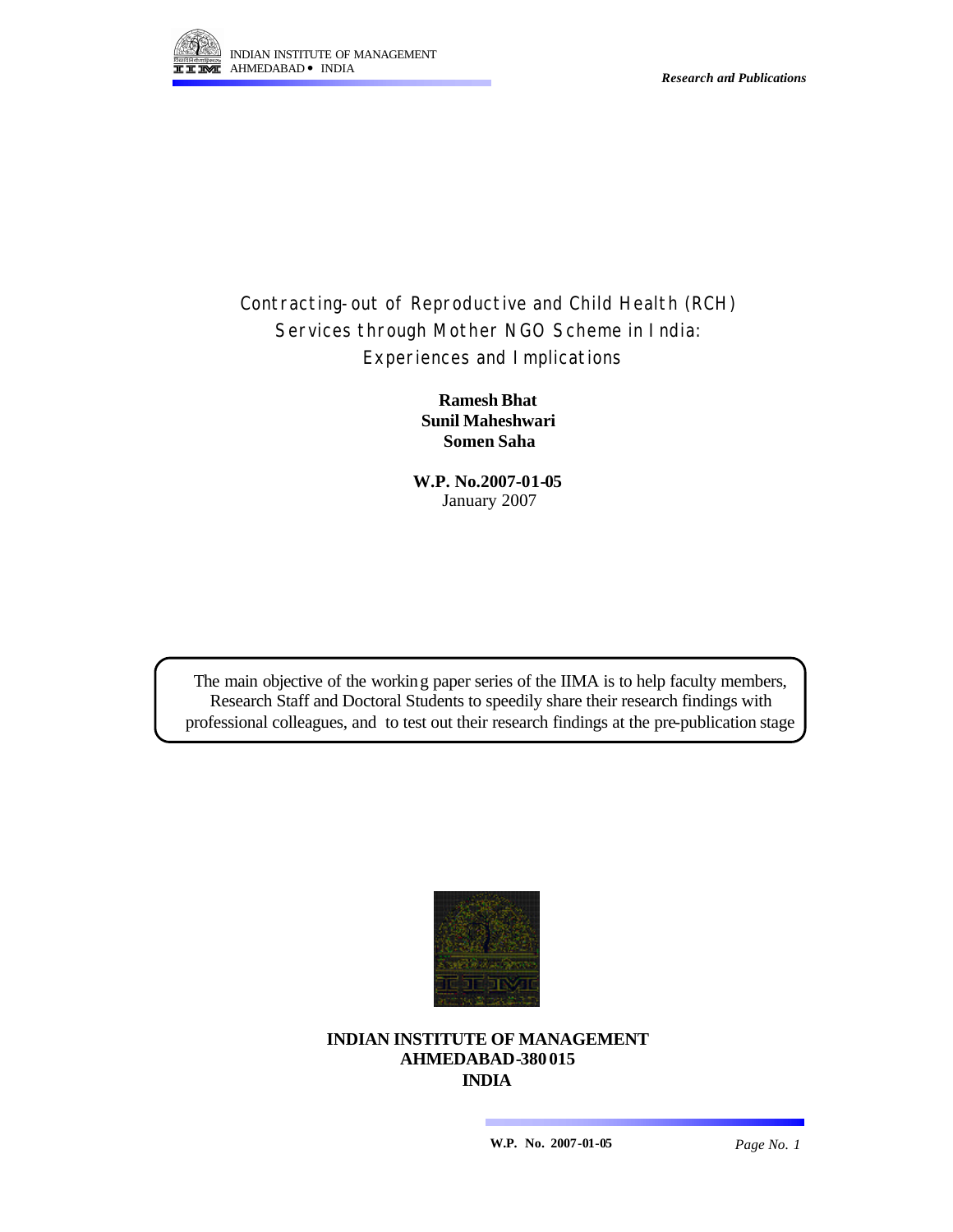

*Research and Publications*

# Contracting-out of Reproductive and Child Health (RCH) Services through Mother NGO Scheme in India: Experiences and Implications

**Ramesh Bhat Sunil Maheshwari Somen Saha**

**W.P. No.2007-01-05** January 2007

The main objective of the working paper series of the IIMA is to help faculty members, Research Staff and Doctoral Students to speedily share their research findings with professional colleagues, and to test out their research findings at the pre-publication stage



## **INDIAN INSTITUTE OF MANAGEMENT AHMEDABAD-380 015 INDIA**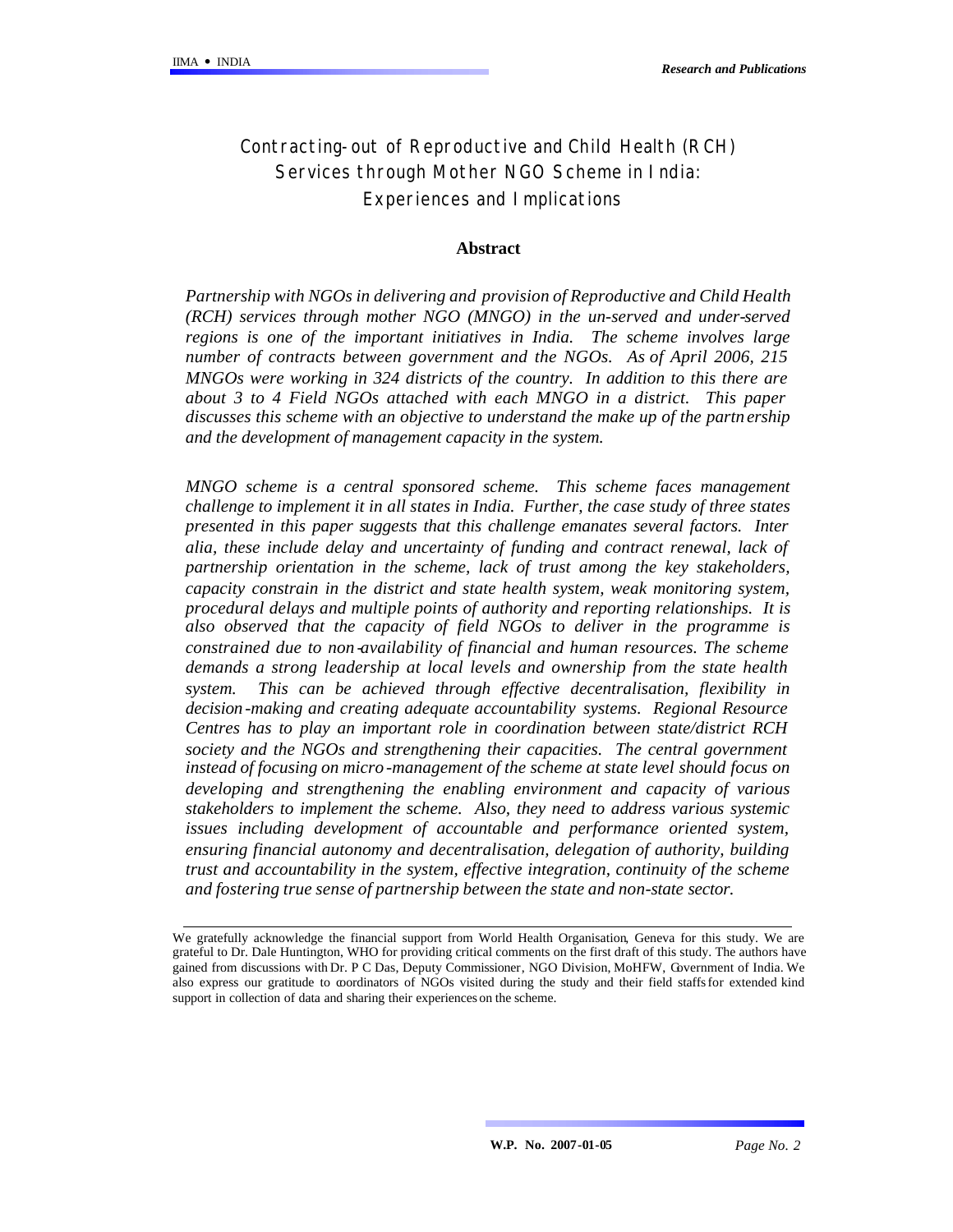# Contracting-out of Reproductive and Child Health (R CH) Services through Mother NGO Scheme in India: Experiences and Implications

### **Abstract**

*Partnership with NGOs in delivering and provision of Reproductive and Child Health (RCH) services through mother NGO (MNGO) in the un-served and under-served regions is one of the important initiatives in India. The scheme involves large number of contracts between government and the NGOs. As of April 2006, 215 MNGOs were working in 324 districts of the country. In addition to this there are about 3 to 4 Field NGOs attached with each MNGO in a district. This paper discusses this scheme with an objective to understand the make up of the partn ership and the development of management capacity in the system.* 

*MNGO scheme is a central sponsored scheme. This scheme faces management challenge to implement it in all states in India. Further, the case study of three states presented in this paper suggests that this challenge emanates several factors. Inter alia, these include delay and uncertainty of funding and contract renewal, lack of partnership orientation in the scheme, lack of trust among the key stakeholders, capacity constrain in the district and state health system, weak monitoring system, procedural delays and multiple points of authority and reporting relationships. It is also observed that the capacity of field NGOs to deliver in the programme is constrained due to non -availability of financial and human resources. The scheme demands a strong leadership at local levels and ownership from the state health system. This can be achieved through effective decentralisation, flexibility in decision -making and creating adequate accountability systems. Regional Resource Centres has to play an important role in coordination between state/district RCH society and the NGOs and strengthening their capacities. The central government instead of focusing on micro -management of the scheme at state level should focus on developing and strengthening the enabling environment and capacity of various stakeholders to implement the scheme. Also, they need to address various systemic issues including development of accountable and performance oriented system, ensuring financial autonomy and decentralisation, delegation of authority, building trust and accountability in the system, effective integration, continuity of the scheme and fostering true sense of partnership between the state and non-state sector.*

We gratefully acknowledge the financial support from World Health Organisation, Geneva for this study. We are grateful to Dr. Dale Huntington, WHO for providing critical comments on the first draft of this study. The authors have gained from discussions with Dr. P C Das, Deputy Commissioner, NGO Division, MoHFW, Government of India. We also express our gratitude to coordinators of NGOs visited during the study and their field staffs for extended kind support in collection of data and sharing their experiences on the scheme.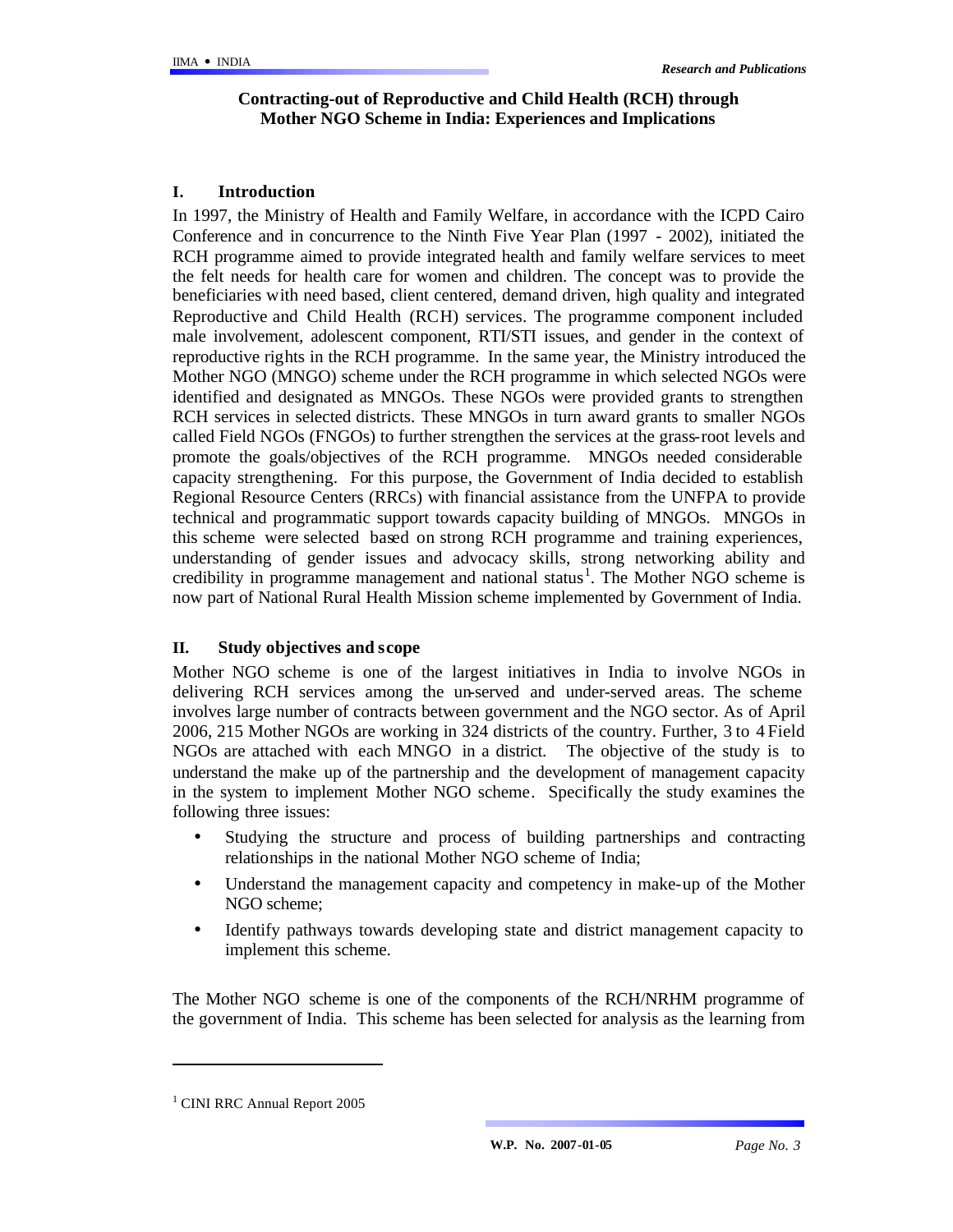## **Contracting-out of Reproductive and Child Health (RCH) through Mother NGO Scheme in India: Experiences and Implications**

## **I. Introduction**

In 1997, the Ministry of Health and Family Welfare, in accordance with the ICPD Cairo Conference and in concurrence to the Ninth Five Year Plan (1997 - 2002), initiated the RCH programme aimed to provide integrated health and family welfare services to meet the felt needs for health care for women and children. The concept was to provide the beneficiaries with need based, client centered, demand driven, high quality and integrated Reproductive and Child Health (RCH) services. The programme component included male involvement, adolescent component, RTI/STI issues, and gender in the context of reproductive rights in the RCH programme. In the same year, the Ministry introduced the Mother NGO (MNGO) scheme under the RCH programme in which selected NGOs were identified and designated as MNGOs. These NGOs were provided grants to strengthen RCH services in selected districts. These MNGOs in turn award grants to smaller NGOs called Field NGOs (FNGOs) to further strengthen the services at the grass-root levels and promote the goals/objectives of the RCH programme. MNGOs needed considerable capacity strengthening. For this purpose, the Government of India decided to establish Regional Resource Centers (RRCs) with financial assistance from the UNFPA to provide technical and programmatic support towards capacity building of MNGOs. MNGOs in this scheme were selected based on strong RCH programme and training experiences, understanding of gender issues and advocacy skills, strong networking ability and credibility in programme management and national status<sup>1</sup>. The Mother NGO scheme is now part of National Rural Health Mission scheme implemented by Government of India.

### **II. Study objectives and scope**

Mother NGO scheme is one of the largest initiatives in India to involve NGOs in delivering RCH services among the un-served and under-served areas. The scheme involves large number of contracts between government and the NGO sector. As of April 2006, 215 Mother NGOs are working in 324 districts of the country. Further, 3 to 4 Field NGOs are attached with each MNGO in a district. The objective of the study is to understand the make up of the partnership and the development of management capacity in the system to implement Mother NGO scheme. Specifically the study examines the following three issues:

- Studying the structure and process of building partnerships and contracting relationships in the national Mother NGO scheme of India;
- Understand the management capacity and competency in make-up of the Mother NGO scheme;
- Identify pathways towards developing state and district management capacity to implement this scheme.

The Mother NGO scheme is one of the components of the RCH/NRHM programme of the government of India. This scheme has been selected for analysis as the learning from

l

<sup>&</sup>lt;sup>1</sup> CINI RRC Annual Report 2005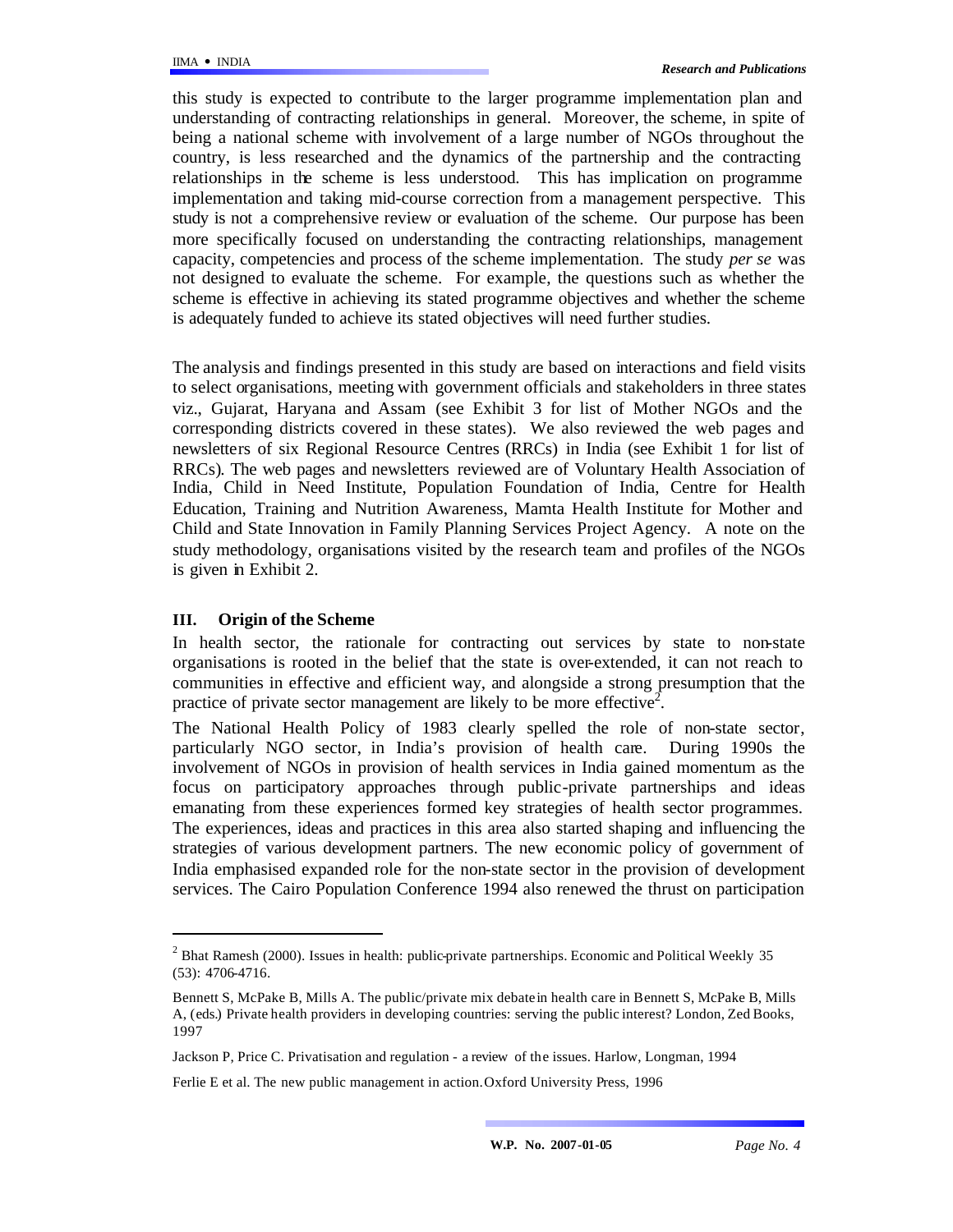this study is expected to contribute to the larger programme implementation plan and understanding of contracting relationships in general. Moreover, the scheme, in spite of being a national scheme with involvement of a large number of NGOs throughout the country, is less researched and the dynamics of the partnership and the contracting relationships in the scheme is less understood. This has implication on programme implementation and taking mid-course correction from a management perspective. This study is not a comprehensive review or evaluation of the scheme. Our purpose has been more specifically focused on understanding the contracting relationships, management capacity, competencies and process of the scheme implementation. The study *per se* was not designed to evaluate the scheme. For example, the questions such as whether the scheme is effective in achieving its stated programme objectives and whether the scheme is adequately funded to achieve its stated objectives will need further studies.

The analysis and findings presented in this study are based on interactions and field visits to select organisations, meeting with government officials and stakeholders in three states viz., Gujarat, Haryana and Assam (see Exhibit 3 for list of Mother NGOs and the corresponding districts covered in these states). We also reviewed the web pages and newsletters of six Regional Resource Centres (RRCs) in India (see Exhibit 1 for list of RRCs). The web pages and newsletters reviewed are of Voluntary Health Association of India, Child in Need Institute, Population Foundation of India, Centre for Health Education, Training and Nutrition Awareness, Mamta Health Institute for Mother and Child and State Innovation in Family Planning Services Project Agency. A note on the study methodology, organisations visited by the research team and profiles of the NGOs is given in Exhibit 2.

### **III. Origin of the Scheme**

l

In health sector, the rationale for contracting out services by state to non-state organisations is rooted in the belief that the state is over-extended, it can not reach to communities in effective and efficient way, and alongside a strong presumption that the practice of private sector management are likely to be more effective<sup>2</sup>.

The National Health Policy of 1983 clearly spelled the role of non-state sector, particularly NGO sector, in India's provision of health care. During 1990s the involvement of NGOs in provision of health services in India gained momentum as the focus on participatory approaches through public-private partnerships and ideas emanating from these experiences formed key strategies of health sector programmes. The experiences, ideas and practices in this area also started shaping and influencing the strategies of various development partners. The new economic policy of government of India emphasised expanded role for the non-state sector in the provision of development services. The Cairo Population Conference 1994 also renewed the thrust on participation

 $2^{2}$  Bhat Ramesh (2000). Issues in health: public-private partnerships. Economic and Political Weekly 35 (53): 4706-4716.

Bennett S, McPake B, Mills A. The public/private mix debate in health care in Bennett S, McPake B, Mills A, (eds.) Private health providers in developing countries: serving the public interest? London, Zed Books, 1997

Jackson P, Price C. Privatisation and regulation - a review of the issues. Harlow, Longman, 1994

Ferlie E et al. The new public management in action.Oxford University Press, 1996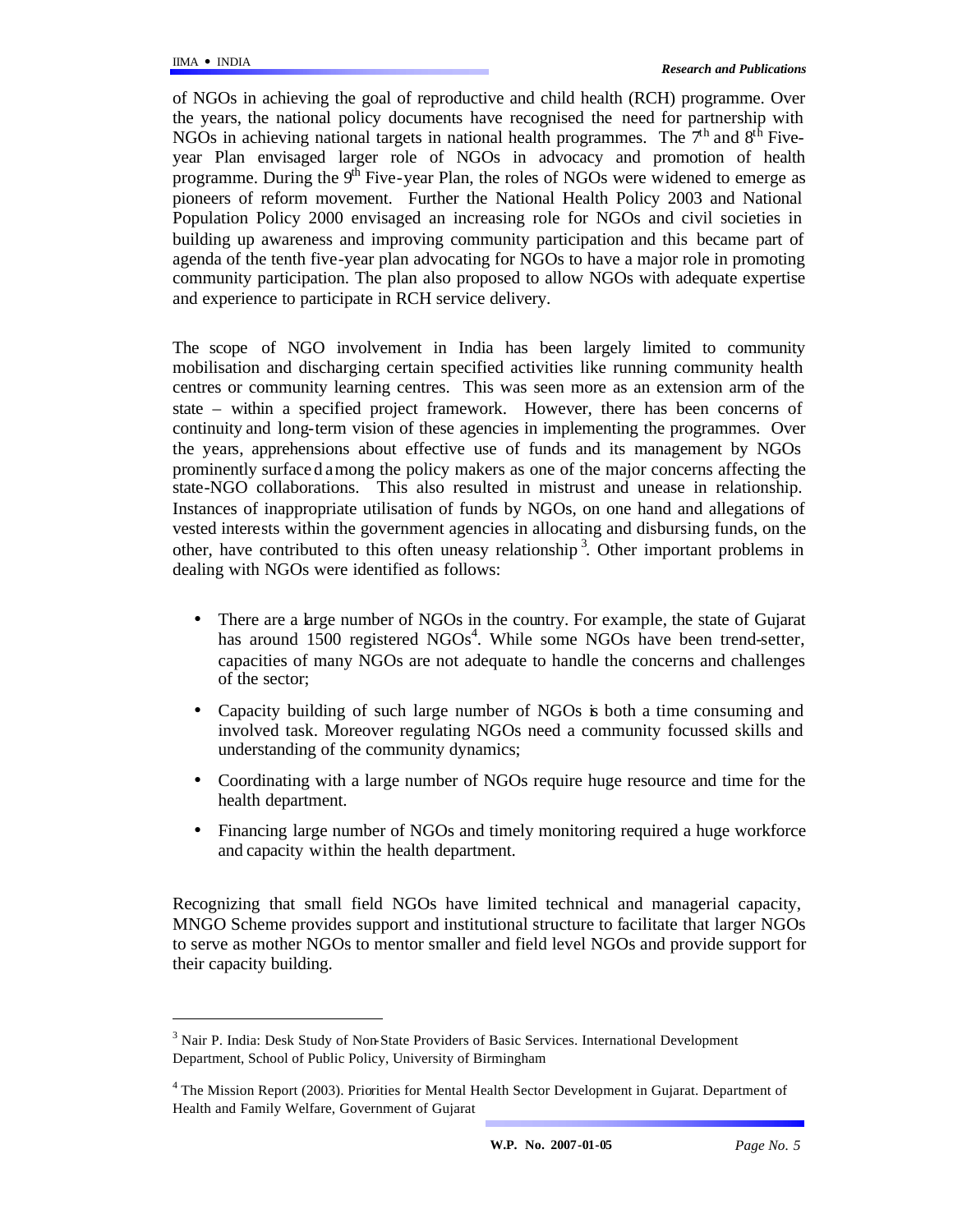l

of NGOs in achieving the goal of reproductive and child health (RCH) programme. Over the years, the national policy documents have recognised the need for partnership with NGOs in achieving national targets in national health programmes. The  $7<sup>th</sup>$  and  $8<sup>th</sup>$  Fiveyear Plan envisaged larger role of NGOs in advocacy and promotion of health programme. During the  $9<sup>th</sup>$  Five-year Plan, the roles of NGOs were widened to emerge as pioneers of reform movement. Further the National Health Policy 2003 and National Population Policy 2000 envisaged an increasing role for NGOs and civil societies in building up awareness and improving community participation and this became part of agenda of the tenth five-year plan advocating for NGOs to have a major role in promoting community participation. The plan also proposed to allow NGOs with adequate expertise and experience to participate in RCH service delivery.

The scope of NGO involvement in India has been largely limited to community mobilisation and discharging certain specified activities like running community health centres or community learning centres. This was seen more as an extension arm of the state – within a specified project framework. However, there has been concerns of continuity and long-term vision of these agencies in implementing the programmes. Over the years, apprehensions about effective use of funds and its management by NGOs prominently surface d among the policy makers as one of the major concerns affecting the state-NGO collaborations. This also resulted in mistrust and unease in relationship. Instances of inappropriate utilisation of funds by NGOs, on one hand and allegations of vested interests within the government agencies in allocating and disbursing funds, on the other, have contributed to this often uneasy relationship<sup>3</sup>. Other important problems in dealing with NGOs were identified as follows:

- There are a large number of NGOs in the country. For example, the state of Gujarat has around 1500 registered NGOs<sup>4</sup>. While some NGOs have been trend-setter, capacities of many NGOs are not adequate to handle the concerns and challenges of the sector;
- Capacity building of such large number of NGOs is both a time consuming and involved task. Moreover regulating NGOs need a community focussed skills and understanding of the community dynamics;
- Coordinating with a large number of NGOs require huge resource and time for the health department.
- Financing large number of NGOs and timely monitoring required a huge workforce and capacity within the health department.

Recognizing that small field NGOs have limited technical and managerial capacity, MNGO Scheme provides support and institutional structure to facilitate that larger NGOs to serve as mother NGOs to mentor smaller and field level NGOs and provide support for their capacity building.

<sup>&</sup>lt;sup>3</sup> Nair P. India: Desk Study of Non-State Providers of Basic Services. International Development Department, School of Public Policy, University of Birmingham

<sup>&</sup>lt;sup>4</sup> The Mission Report (2003). Priorities for Mental Health Sector Development in Gujarat. Department of Health and Family Welfare, Government of Gujarat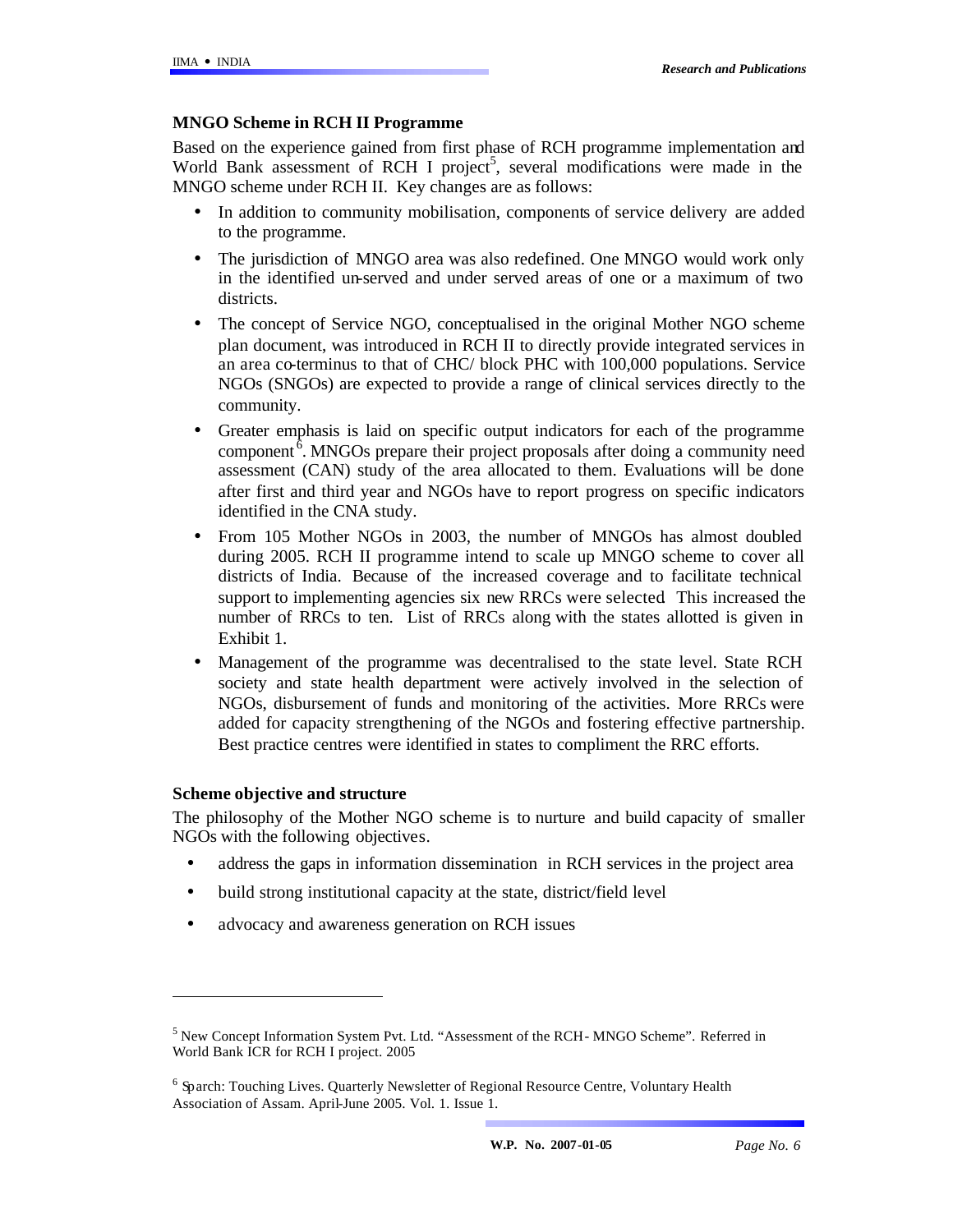### **MNGO Scheme in RCH II Programme**

Based on the experience gained from first phase of RCH programme implementation and World Bank assessment of RCH I project<sup>5</sup>, several modifications were made in the MNGO scheme under RCH II. Key changes are as follows:

- In addition to community mobilisation, components of service delivery are added to the programme.
- The jurisdiction of MNGO area was also redefined. One MNGO would work only in the identified un-served and under served areas of one or a maximum of two districts.
- The concept of Service NGO, conceptualised in the original Mother NGO scheme plan document, was introduced in RCH II to directly provide integrated services in an area co-terminus to that of CHC/ block PHC with 100,000 populations. Service NGOs (SNGOs) are expected to provide a range of clinical services directly to the community.
- Greater emphasis is laid on specific output indicators for each of the programme component  $\delta$ . MNGOs prepare their project proposals after doing a community need assessment (CAN) study of the area allocated to them. Evaluations will be done after first and third year and NGOs have to report progress on specific indicators identified in the CNA study.
- From 105 Mother NGOs in 2003, the number of MNGOs has almost doubled during 2005. RCH II programme intend to scale up MNGO scheme to cover all districts of India. Because of the increased coverage and to facilitate technical support to implementing agencies six new RRCs were selected. This increased the number of RRCs to ten. List of RRCs along with the states allotted is given in Exhibit 1.
- Management of the programme was decentralised to the state level. State RCH society and state health department were actively involved in the selection of NGOs, disbursement of funds and monitoring of the activities. More RRCs were added for capacity strengthening of the NGOs and fostering effective partnership. Best practice centres were identified in states to compliment the RRC efforts.

### **Scheme objective and structure**

 $\overline{a}$ 

The philosophy of the Mother NGO scheme is to nurture and build capacity of smaller NGOs with the following objectives.

- address the gaps in information dissemination in RCH services in the project area
- build strong institutional capacity at the state, district/field level
- advocacy and awareness generation on RCH issues

<sup>5</sup> New Concept Information System Pvt. Ltd. "Assessment of the RCH- MNGO Scheme". Referred in World Bank ICR for RCH I project. 2005

<sup>&</sup>lt;sup>6</sup> Sparch: Touching Lives. Quarterly Newsletter of Regional Resource Centre, Voluntary Health Association of Assam. April-June 2005. Vol. 1. Issue 1.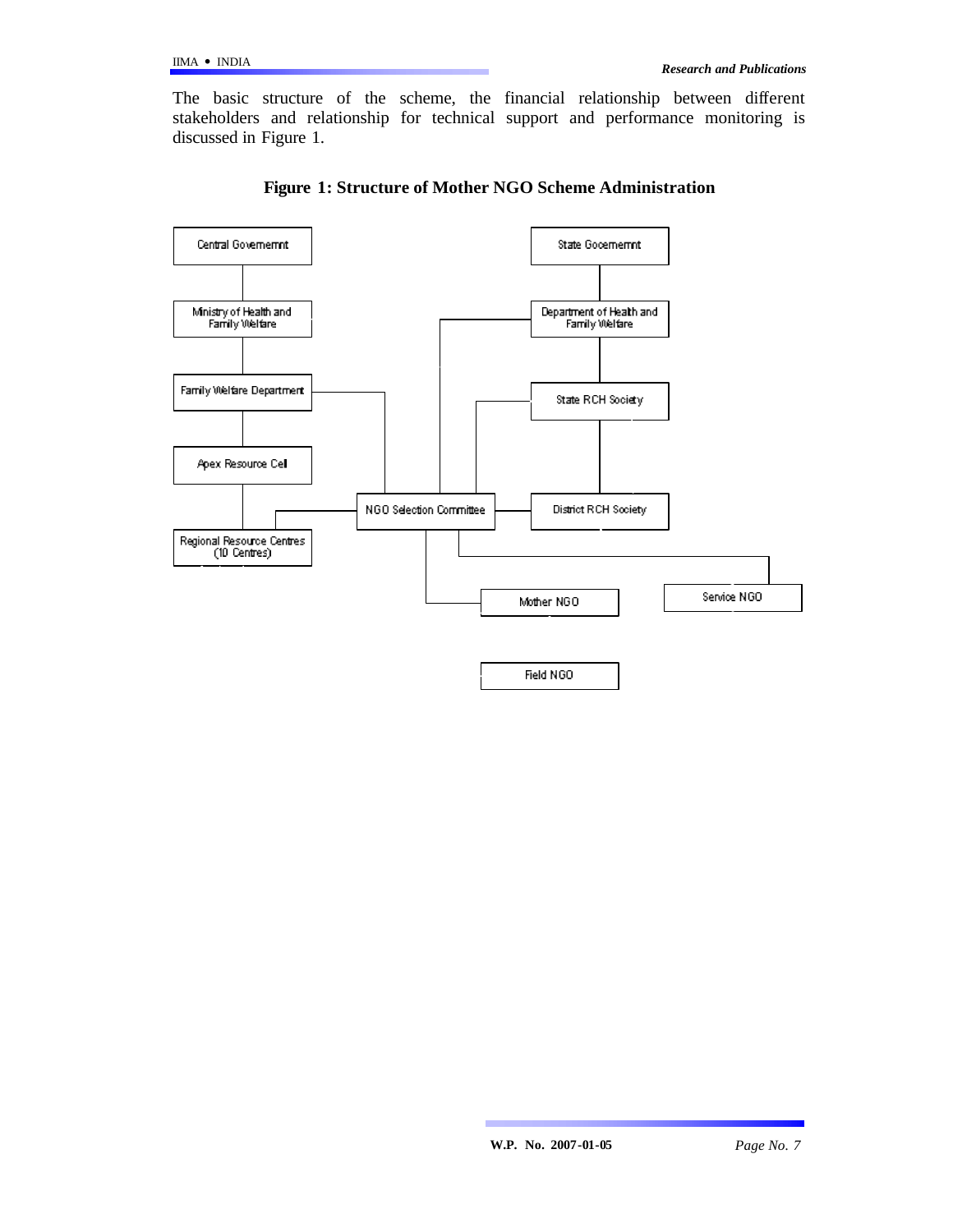The basic structure of the scheme, the financial relationship between different stakeholders and relationship for technical support and performance monitoring is discussed in Figure 1.



**Figure 1: Structure of Mother NGO Scheme Administration**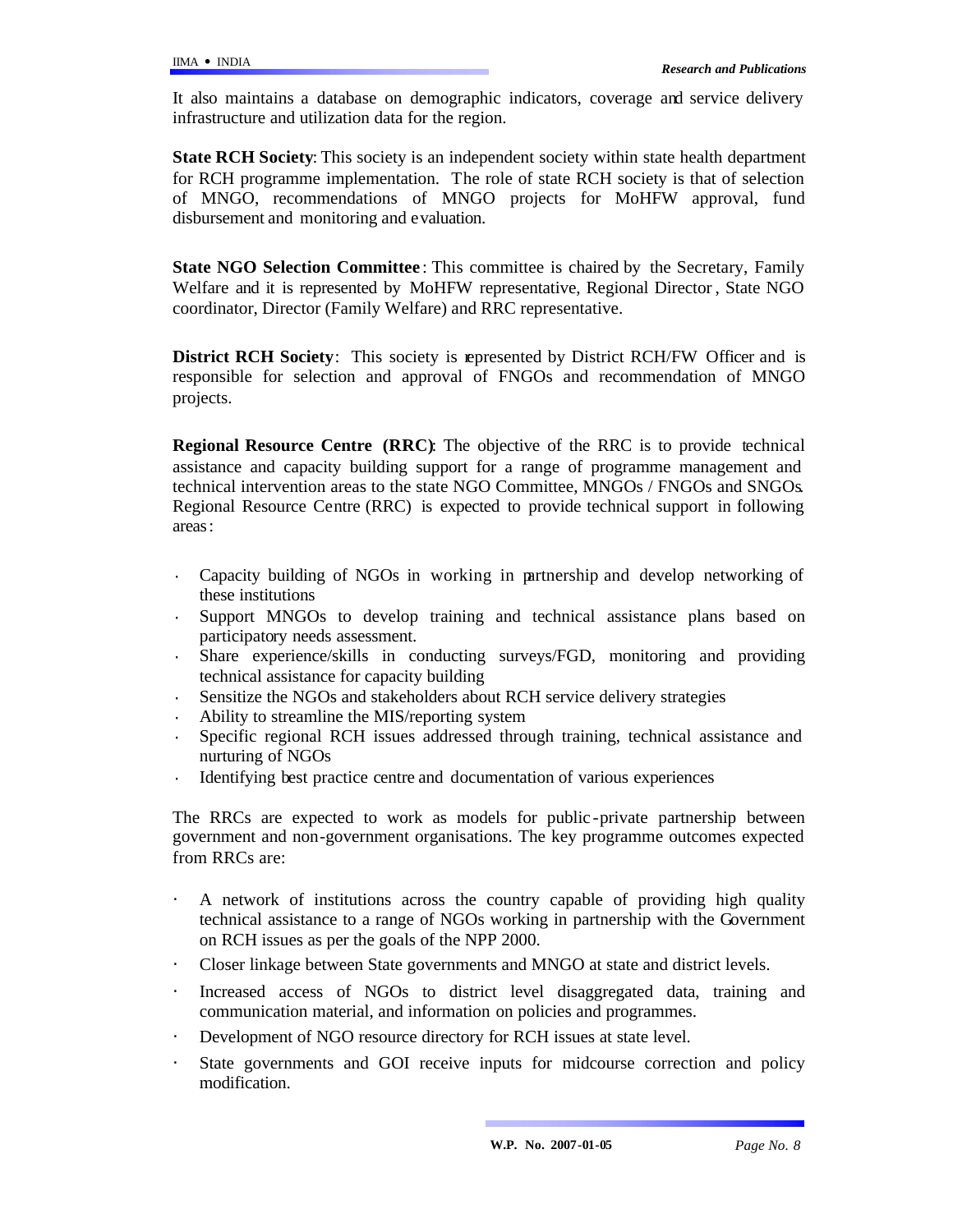It also maintains a database on demographic indicators, coverage and service delivery infrastructure and utilization data for the region.

**State RCH Society**: This society is an independent society within state health department for RCH programme implementation. The role of state RCH society is that of selection of MNGO, recommendations of MNGO projects for MoHFW approval, fund disbursement and monitoring and evaluation.

**State NGO Selection Committee** : This committee is chaired by the Secretary, Family Welfare and it is represented by MoHFW representative, Regional Director , State NGO coordinator, Director (Family Welfare) and RRC representative.

**District RCH Society**: This society is represented by District RCH/FW Officer and is responsible for selection and approval of FNGOs and recommendation of MNGO projects.

**Regional Resource Centre (RRC)**: The objective of the RRC is to provide technical assistance and capacity building support for a range of programme management and technical intervention areas to the state NGO Committee, MNGOs / FNGOs and SNGOs. Regional Resource Centre (RRC) is expected to provide technical support in following areas:

- · Capacity building of NGOs in working in partnership and develop networking of these institutions
- Support MNGOs to develop training and technical assistance plans based on participatory needs assessment.
- Share experience/skills in conducting surveys/FGD, monitoring and providing technical assistance for capacity building
- Sensitize the NGOs and stakeholders about RCH service delivery strategies
- Ability to streamline the MIS/reporting system
- Specific regional RCH issues addressed through training, technical assistance and nurturing of NGOs
- Identifying best practice centre and documentation of various experiences

The RRCs are expected to work as models for public -private partnership between government and non-government organisations. The key programme outcomes expected from RRCs are:

- A network of institutions across the country capable of providing high quality technical assistance to a range of NGOs working in partnership with the Government on RCH issues as per the goals of the NPP 2000.
- Closer linkage between State governments and MNGO at state and district levels.
- Increased access of NGOs to district level disaggregated data, training and communication material, and information on policies and programmes.
- Development of NGO resource directory for RCH issues at state level.
- State governments and GOI receive inputs for midcourse correction and policy modification.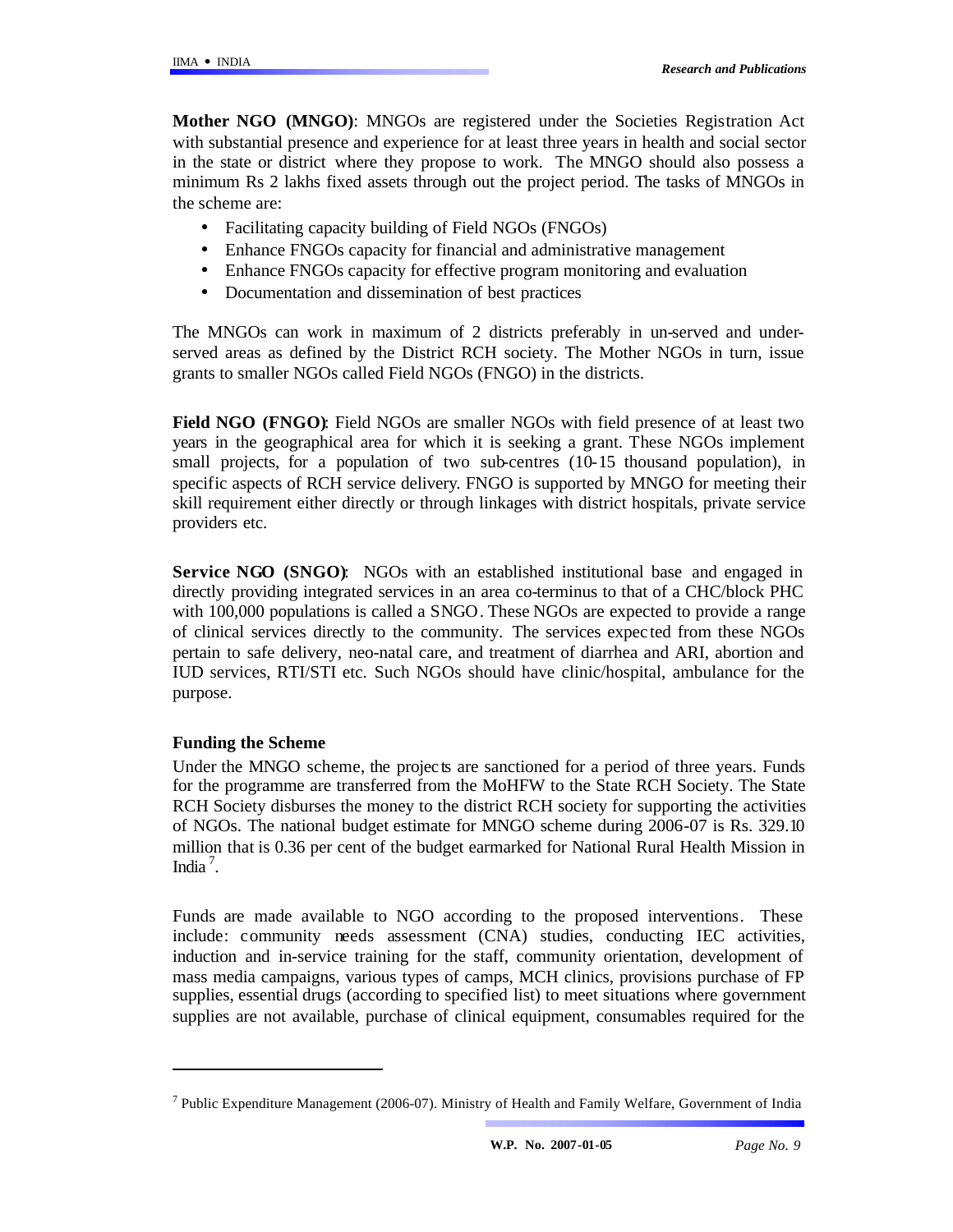**Mother NGO (MNGO)**: MNGOs are registered under the Societies Registration Act with substantial presence and experience for at least three years in health and social sector in the state or district where they propose to work. The MNGO should also possess a minimum Rs 2 lakhs fixed assets through out the project period. The tasks of MNGOs in the scheme are:

- Facilitating capacity building of Field NGOs (FNGOs)
- Enhance FNGOs capacity for financial and administrative management
- Enhance FNGOs capacity for effective program monitoring and evaluation
- Documentation and dissemination of best practices

The MNGOs can work in maximum of 2 districts preferably in un-served and underserved areas as defined by the District RCH society. The Mother NGOs in turn, issue grants to smaller NGOs called Field NGOs (FNGO) in the districts.

**Field NGO (FNGO)**: Field NGOs are smaller NGOs with field presence of at least two years in the geographical area for which it is seeking a grant. These NGOs implement small projects, for a population of two sub-centres (10-15 thousand population), in specific aspects of RCH service delivery. FNGO is supported by MNGO for meeting their skill requirement either directly or through linkages with district hospitals, private service providers etc.

**Service NGO (SNGO):** NGOs with an established institutional base and engaged in directly providing integrated services in an area co-terminus to that of a CHC/block PHC with 100,000 populations is called a SNGO. These NGOs are expected to provide a range of clinical services directly to the community. The services expec ted from these NGOs pertain to safe delivery, neo-natal care, and treatment of diarrhea and ARI, abortion and IUD services, RTI/STI etc. Such NGOs should have clinic/hospital, ambulance for the purpose.

## **Funding the Scheme**

 $\overline{a}$ 

Under the MNGO scheme, the projects are sanctioned for a period of three years. Funds for the programme are transferred from the MoHFW to the State RCH Society. The State RCH Society disburses the money to the district RCH society for supporting the activities of NGOs. The national budget estimate for MNGO scheme during 2006-07 is Rs. 329.10 million that is 0.36 per cent of the budget earmarked for National Rural Health Mission in India<sup>7</sup>.

Funds are made available to NGO according to the proposed interventions. These include: community needs assessment (CNA) studies, conducting IEC activities, induction and in-service training for the staff, community orientation, development of mass media campaigns, various types of camps, MCH clinics, provisions purchase of FP supplies, essential drugs (according to specified list) to meet situations where government supplies are not available, purchase of clinical equipment, consumables required for the

<sup>&</sup>lt;sup>7</sup> Public Expenditure Management (2006-07). Ministry of Health and Family Welfare, Government of India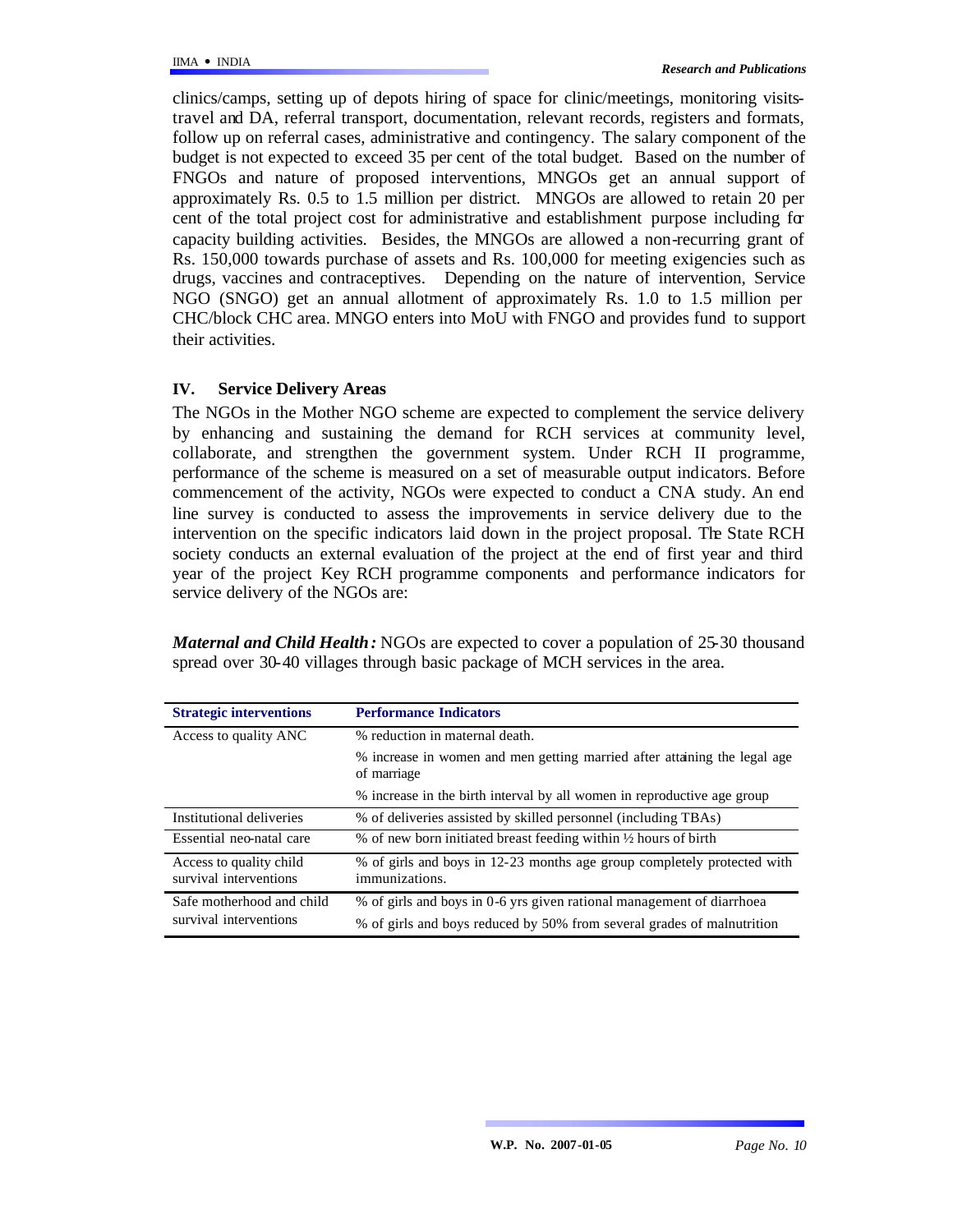clinics/camps, setting up of depots hiring of space for clinic/meetings, monitoring visitstravel and DA, referral transport, documentation, relevant records, registers and formats, follow up on referral cases, administrative and contingency. The salary component of the budget is not expected to exceed 35 per cent of the total budget. Based on the number of FNGOs and nature of proposed interventions, MNGOs get an annual support of approximately Rs. 0.5 to 1.5 million per district. MNGOs are allowed to retain 20 per cent of the total project cost for administrative and establishment purpose including for capacity building activities. Besides, the MNGOs are allowed a non-recurring grant of Rs. 150,000 towards purchase of assets and Rs. 100,000 for meeting exigencies such as drugs, vaccines and contraceptives. Depending on the nature of intervention, Service NGO (SNGO) get an annual allotment of approximately Rs. 1.0 to 1.5 million per CHC/block CHC area. MNGO enters into MoU with FNGO and provides fund to support their activities.

### **IV. Service Delivery Areas**

The NGOs in the Mother NGO scheme are expected to complement the service delivery by enhancing and sustaining the demand for RCH services at community level, collaborate, and strengthen the government system. Under RCH II programme, performance of the scheme is measured on a set of measurable output indicators. Before commencement of the activity, NGOs were expected to conduct a CNA study. An end line survey is conducted to assess the improvements in service delivery due to the intervention on the specific indicators laid down in the project proposal. The State RCH society conducts an external evaluation of the project at the end of first year and third year of the project. Key RCH programme components and performance indicators for service delivery of the NGOs are:

*Maternal and Child Health:* NGOs are expected to cover a population of 25-30 thousand spread over 30-40 villages through basic package of MCH services in the area.

| <b>Strategic interventions</b>                    | <b>Performance Indicators</b>                                                             |  |  |  |  |
|---------------------------------------------------|-------------------------------------------------------------------------------------------|--|--|--|--|
| Access to quality ANC                             | % reduction in maternal death.                                                            |  |  |  |  |
|                                                   | % increase in women and men getting married after attaining the legal age<br>of marriage  |  |  |  |  |
|                                                   | % increase in the birth interval by all women in reproductive age group                   |  |  |  |  |
| Institutional deliveries                          | % of deliveries assisted by skilled personnel (including TBAs)                            |  |  |  |  |
| Essential neo-natal care                          | % of new born initiated breast feeding within $\frac{1}{2}$ hours of birth                |  |  |  |  |
| Access to quality child<br>survival interventions | % of girls and boys in 12-23 months age group completely protected with<br>immunizations. |  |  |  |  |
| Safe motherhood and child                         | % of girls and boys in 0-6 yrs given rational management of diarrhoea                     |  |  |  |  |
| survival interventions                            | % of girls and boys reduced by 50% from several grades of malnutrition                    |  |  |  |  |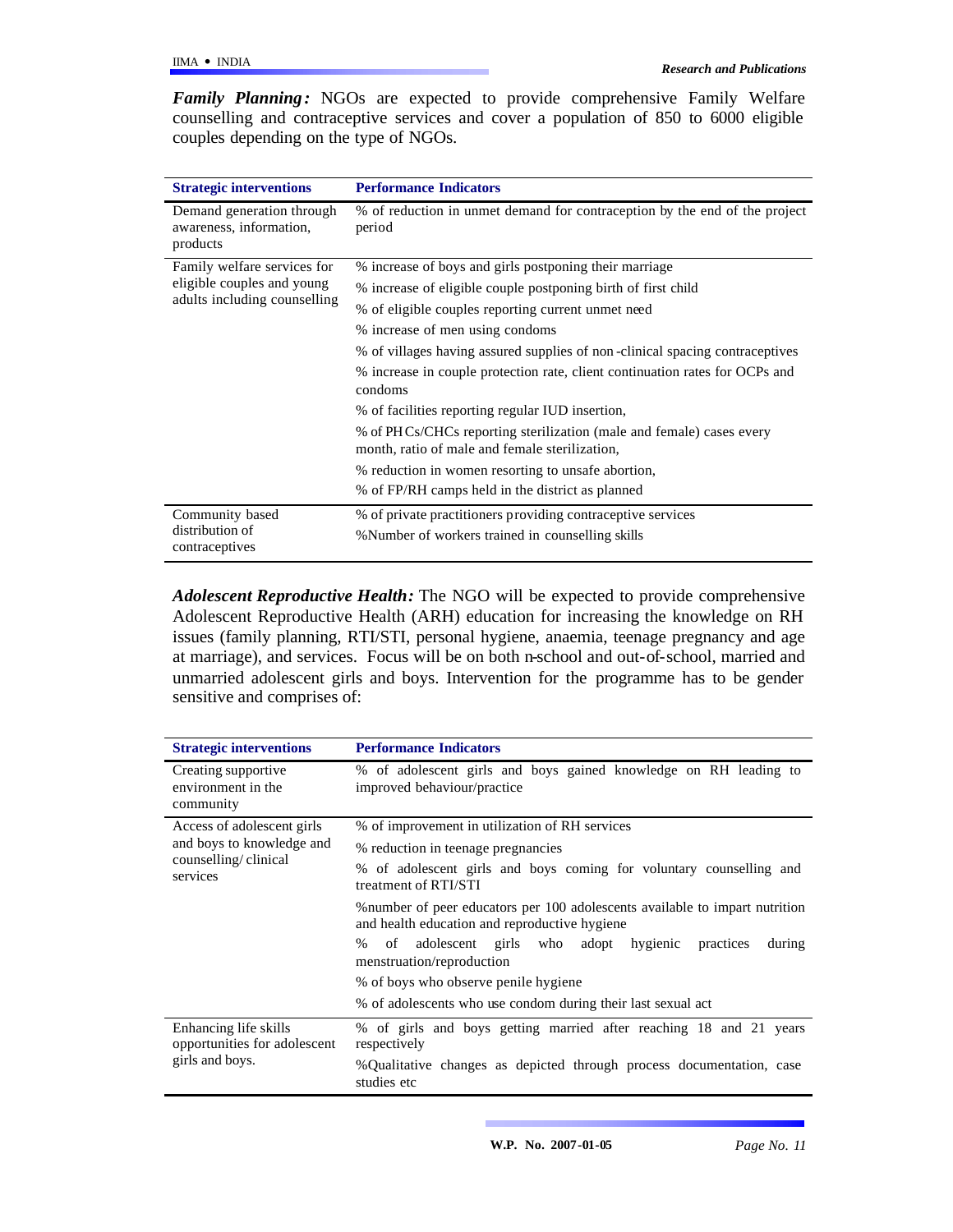Family Planning: NGOs are expected to provide comprehensive Family Welfare counselling and contraceptive services and cover a population of 850 to 6000 eligible couples depending on the type of NGOs.

| <b>Strategic interventions</b>                                   | <b>Performance Indicators</b>                                                                                          |  |  |  |  |
|------------------------------------------------------------------|------------------------------------------------------------------------------------------------------------------------|--|--|--|--|
| Demand generation through<br>awareness, information,<br>products | % of reduction in unmet demand for contraception by the end of the project<br>period                                   |  |  |  |  |
| Family welfare services for                                      | % increase of boys and girls postponing their marriage                                                                 |  |  |  |  |
| eligible couples and young                                       | % increase of eligible couple postponing birth of first child                                                          |  |  |  |  |
| adults including counselling                                     | % of eligible couples reporting current unmet need                                                                     |  |  |  |  |
|                                                                  | % increase of men using condoms                                                                                        |  |  |  |  |
|                                                                  | % of villages having assured supplies of non-clinical spacing contraceptives                                           |  |  |  |  |
|                                                                  | % increase in couple protection rate, client continuation rates for OCPs and<br>condoms                                |  |  |  |  |
|                                                                  | % of facilities reporting regular IUD insertion,                                                                       |  |  |  |  |
|                                                                  | % of PHCs/CHCs reporting sterilization (male and female) cases every<br>month, ratio of male and female sterilization, |  |  |  |  |
|                                                                  | % reduction in women resorting to unsafe abortion,                                                                     |  |  |  |  |
|                                                                  | % of FP/RH camps held in the district as planned                                                                       |  |  |  |  |
| Community based                                                  | % of private practitioners providing contraceptive services                                                            |  |  |  |  |
| distribution of<br>contraceptives                                | % Number of workers trained in counselling skills                                                                      |  |  |  |  |

*Adolescent Reproductive Health:* The NGO will be expected to provide comprehensive Adolescent Reproductive Health (ARH) education for increasing the knowledge on RH issues (family planning, RTI/STI, personal hygiene, anaemia, teenage pregnancy and age at marriage), and services. Focus will be on both n-school and out-of-school, married and unmarried adolescent girls and boys. Intervention for the programme has to be gender sensitive and comprises of:

| <b>Strategic interventions</b>                                           | <b>Performance Indicators</b>                                                                                                 |  |  |  |  |  |  |
|--------------------------------------------------------------------------|-------------------------------------------------------------------------------------------------------------------------------|--|--|--|--|--|--|
| Creating supportive<br>environment in the<br>community                   | % of adolescent girls and boys gained knowledge on RH leading to<br>improved behaviour/practice                               |  |  |  |  |  |  |
| Access of adolescent girls                                               | % of improvement in utilization of RH services                                                                                |  |  |  |  |  |  |
| and boys to knowledge and                                                | % reduction in teenage pregnancies                                                                                            |  |  |  |  |  |  |
| counselling/clinical<br>services                                         | % of adolescent girls and boys coming for voluntary counselling and<br>treatment of RTI/STI                                   |  |  |  |  |  |  |
|                                                                          | % number of peer educators per 100 adolescents available to impart nutrition<br>and health education and reproductive hygiene |  |  |  |  |  |  |
|                                                                          | $\%$<br>of adolescent girls who adopt hygienic<br>practices<br>during<br>menstruation/reproduction                            |  |  |  |  |  |  |
|                                                                          | % of boys who observe penile hygiene                                                                                          |  |  |  |  |  |  |
|                                                                          | % of adolescents who use condom during their last sexual act                                                                  |  |  |  |  |  |  |
| Enhancing life skills<br>opportunities for adolescent<br>girls and boys. | % of girls and boys getting married after reaching 18 and 21 years<br>respectively                                            |  |  |  |  |  |  |
|                                                                          | %Qualitative changes as depicted through process documentation, case<br>studies etc                                           |  |  |  |  |  |  |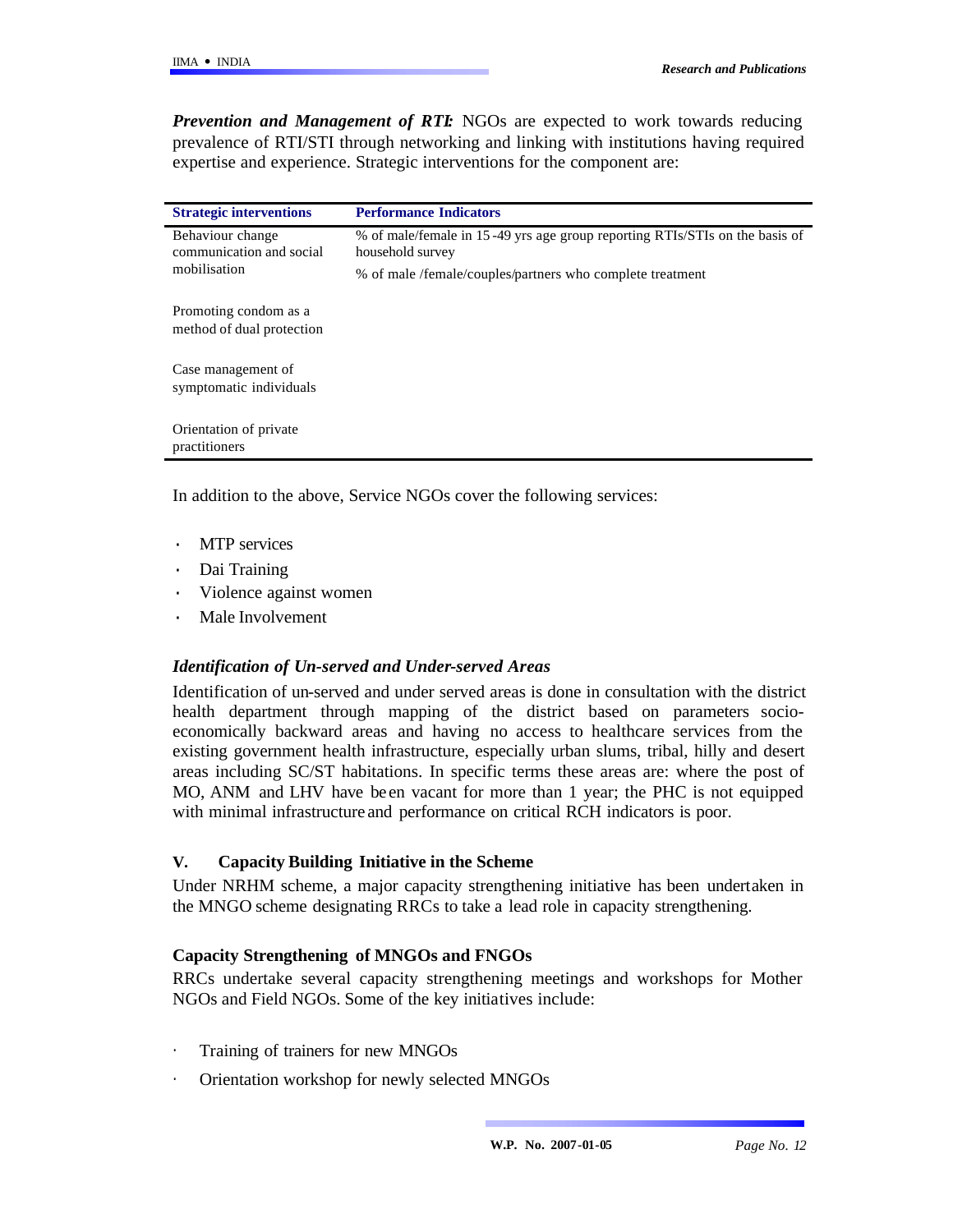*Prevention and Management of RTI:* NGOs are expected to work towards reducing prevalence of RTI/STI through networking and linking with institutions having required expertise and experience. Strategic interventions for the component are:

| <b>Strategic interventions</b>                               | <b>Performance Indicators</b>                                                                   |
|--------------------------------------------------------------|-------------------------------------------------------------------------------------------------|
| Behaviour change<br>communication and social<br>mobilisation | % of male/female in 15-49 yrs age group reporting RTIs/STIs on the basis of<br>household survey |
|                                                              | % of male/female/couples/partners who complete treatment                                        |
| Promoting condom as a<br>method of dual protection           |                                                                                                 |
| Case management of<br>symptomatic individuals                |                                                                                                 |
| Orientation of private<br>practitioners                      |                                                                                                 |

In addition to the above, Service NGOs cover the following services:

- **MTP** services
- · Dai Training
- Violence against women
- Male Involvement

### *Identification of Un-served and Under-served Areas*

Identification of un-served and under served areas is done in consultation with the district health department through mapping of the district based on parameters socioeconomically backward areas and having no access to healthcare services from the existing government health infrastructure, especially urban slums, tribal, hilly and desert areas including SC/ST habitations. In specific terms these areas are: where the post of MO, ANM and LHV have been vacant for more than 1 year; the PHC is not equipped with minimal infrastructure and performance on critical RCH indicators is poor.

### **V. Capacity Building Initiative in the Scheme**

Under NRHM scheme, a major capacity strengthening initiative has been undertaken in the MNGO scheme designating RRCs to take a lead role in capacity strengthening.

## **Capacity Strengthening of MNGOs and FNGOs**

RRCs undertake several capacity strengthening meetings and workshops for Mother NGOs and Field NGOs. Some of the key initiatives include:

- Training of trainers for new MNGOs
- Orientation workshop for newly selected MNGOs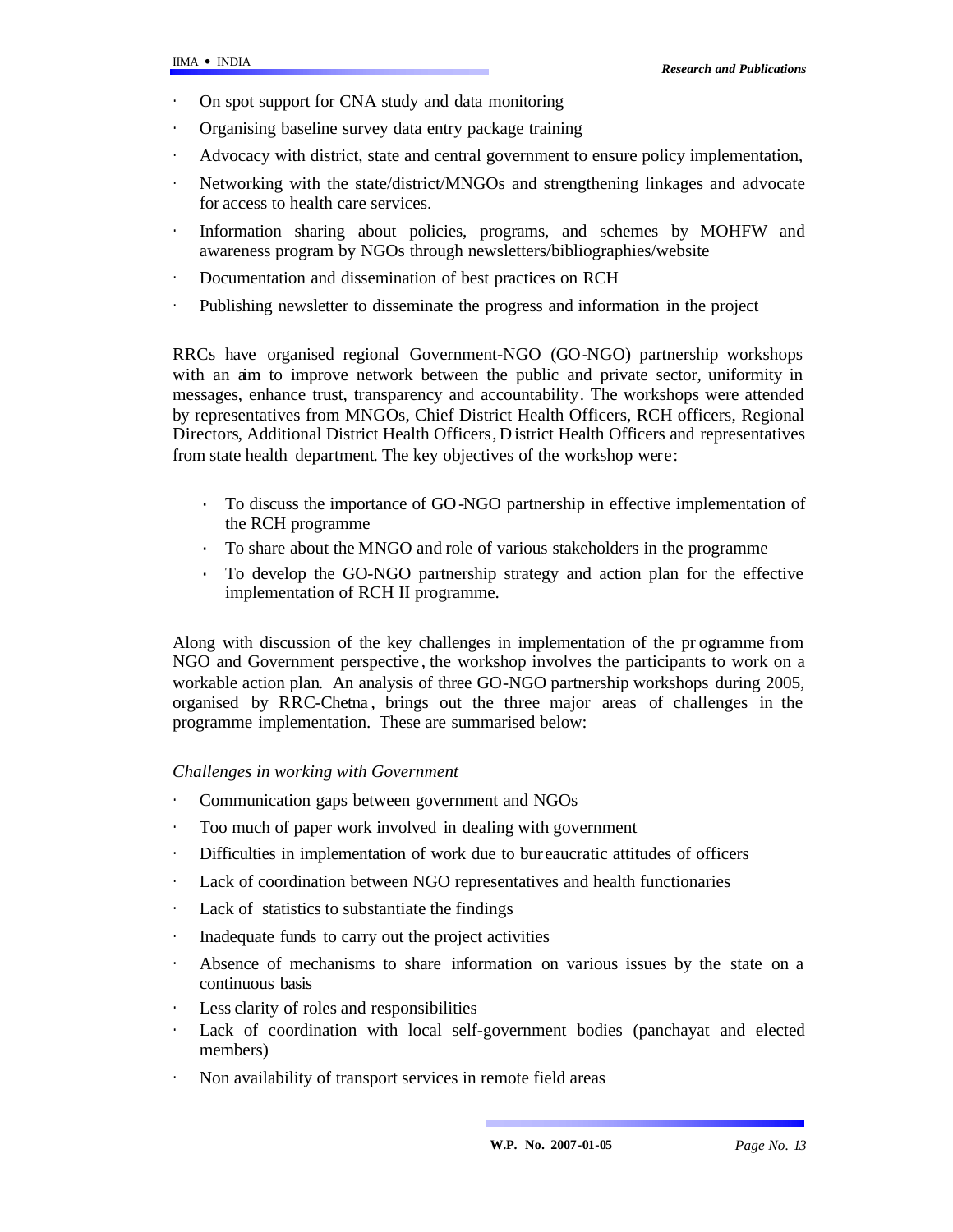- On spot support for CNA study and data monitoring
- Organising baseline survey data entry package training
- Advocacy with district, state and central government to ensure policy implementation,
- Networking with the state/district/MNGOs and strengthening linkages and advocate for access to health care services.
- Information sharing about policies, programs, and schemes by MOHFW and awareness program by NGOs through newsletters/bibliographies/website
- Documentation and dissemination of best practices on RCH
- Publishing newsletter to disseminate the progress and information in the project

RRCs have organised regional Government-NGO (GO-NGO) partnership workshops with an aim to improve network between the public and private sector, uniformity in messages, enhance trust, transparency and accountability. The workshops were attended by representatives from MNGOs, Chief District Health Officers, RCH officers, Regional Directors, Additional District Health Officers, D istrict Health Officers and representatives from state health department. The key objectives of the workshop were:

- · To discuss the importance of GO-NGO partnership in effective implementation of the RCH programme
- · To share about the MNGO and role of various stakeholders in the programme
- · To develop the GO-NGO partnership strategy and action plan for the effective implementation of RCH II programme.

Along with discussion of the key challenges in implementation of the pr ogramme from NGO and Government perspective , the workshop involves the participants to work on a workable action plan. An analysis of three GO-NGO partnership workshops during 2005, organised by RRC-Chetna , brings out the three major areas of challenges in the programme implementation. These are summarised below:

### *Challenges in working with Government*

- · Communication gaps between government and NGOs
- · Too much of paper work involved in dealing with government
- Difficulties in implementation of work due to bur eaucratic attitudes of officers
- Lack of coordination between NGO representatives and health functionaries
- · Lack of statistics to substantiate the findings
- Inadequate funds to carry out the project activities
- Absence of mechanisms to share information on various issues by the state on a continuous basis
- Less clarity of roles and responsibilities
- Lack of coordination with local self-government bodies (panchayat and elected members)
- Non availability of transport services in remote field areas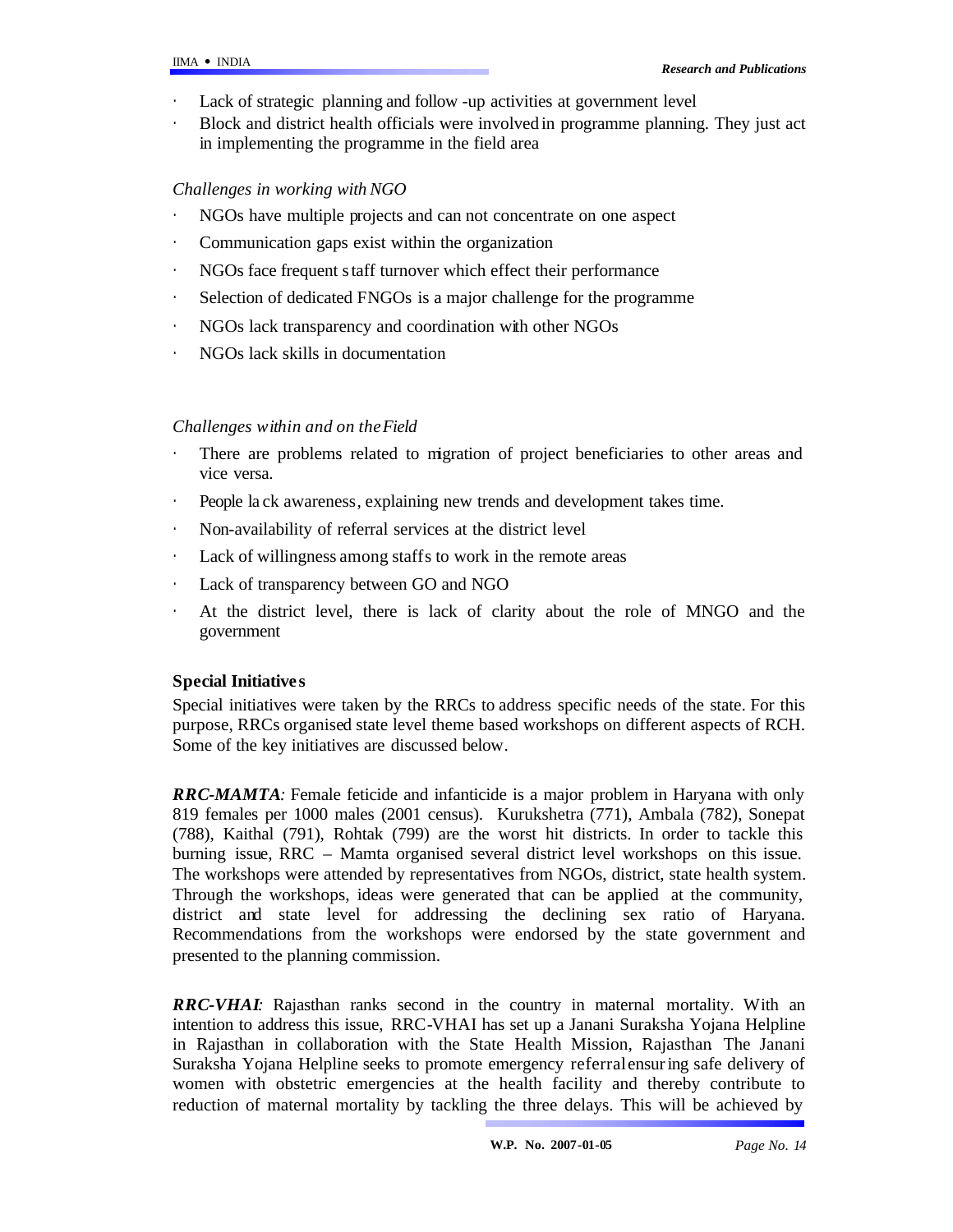- Lack of strategic planning and follow -up activities at government level
- · Block and district health officials were involved in programme planning. They just act in implementing the programme in the field area

## *Challenges in working with NGO*

- NGOs have multiple projects and can not concentrate on one aspect
- Communication gaps exist within the organization
- · NGOs face frequent staff turnover which effect their performance
- · Selection of dedicated FNGOs is a major challenge for the programme
- NGOs lack transparency and coordination with other NGOs
- NGOs lack skills in documentation

## *Challenges within and on the Field*

- There are problems related to migration of project beneficiaries to other areas and vice versa.
- People la ck awareness, explaining new trends and development takes time.
- Non-availability of referral services at the district level
- Lack of willingness among staffs to work in the remote areas
- · Lack of transparency between GO and NGO
- · At the district level, there is lack of clarity about the role of MNGO and the government

## **Special Initiative s**

Special initiatives were taken by the RRCs to address specific needs of the state. For this purpose, RRCs organised state level theme based workshops on different aspects of RCH. Some of the key initiatives are discussed below.

*RRC-MAMTA:* Female feticide and infanticide is a major problem in Haryana with only 819 females per 1000 males (2001 census). Kurukshetra (771), Ambala (782), Sonepat (788), Kaithal (791), Rohtak (799) are the worst hit districts. In order to tackle this burning issue, RRC – Mamta organised several district level workshops on this issue. The workshops were attended by representatives from NGOs, district, state health system. Through the workshops, ideas were generated that can be applied at the community, district and state level for addressing the declining sex ratio of Haryana. Recommendations from the workshops were endorsed by the state government and presented to the planning commission.

*RRC-VHAI:* Rajasthan ranks second in the country in maternal mortality. With an intention to address this issue, RRC-VHAI has set up a Janani Suraksha Yojana Helpline in Rajasthan in collaboration with the State Health Mission, Rajasthan. The Janani Suraksha Yojana Helpline seeks to promote emergency referralensuring safe delivery of women with obstetric emergencies at the health facility and thereby contribute to reduction of maternal mortality by tackling the three delays. This will be achieved by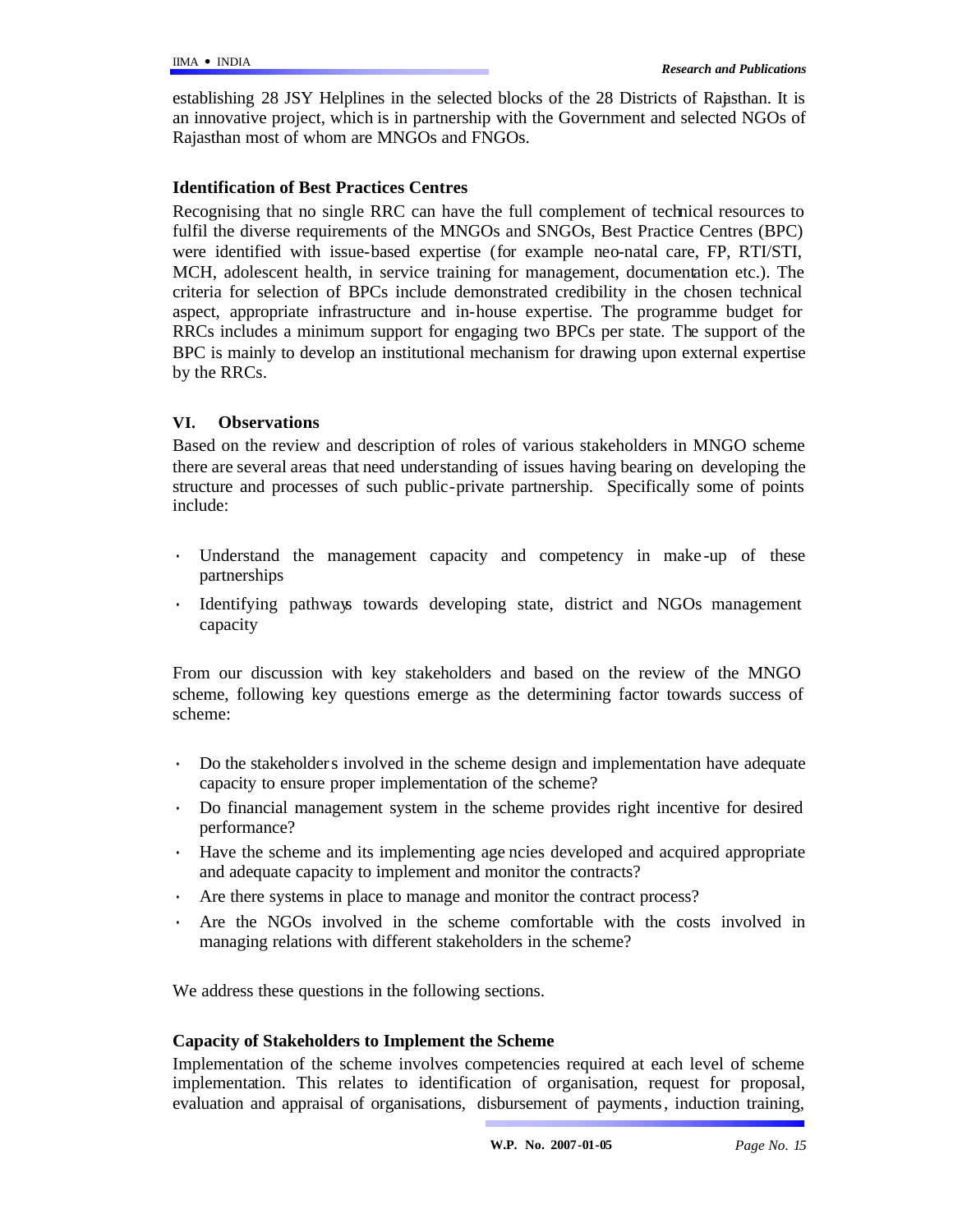establishing 28 JSY Helplines in the selected blocks of the 28 Districts of Rajasthan. It is an innovative project, which is in partnership with the Government and selected NGOs of Rajasthan most of whom are MNGOs and FNGOs.

### **Identification of Best Practices Centres**

Recognising that no single RRC can have the full complement of technical resources to fulfil the diverse requirements of the MNGOs and SNGOs, Best Practice Centres (BPC) were identified with issue-based expertise (for example neo-natal care, FP, RTI/STI, MCH, adolescent health, in service training for management, documentation etc.). The criteria for selection of BPCs include demonstrated credibility in the chosen technical aspect, appropriate infrastructure and in-house expertise. The programme budget for RRCs includes a minimum support for engaging two BPCs per state. The support of the BPC is mainly to develop an institutional mechanism for drawing upon external expertise by the RRCs.

### **VI. Observations**

Based on the review and description of roles of various stakeholders in MNGO scheme there are several areas that need understanding of issues having bearing on developing the structure and processes of such public-private partnership. Specifically some of points include:

- Understand the management capacity and competency in make-up of these partnerships
- · Identifying pathways towards developing state, district and NGOs management capacity

From our discussion with key stakeholders and based on the review of the MNGO scheme, following key questions emerge as the determining factor towards success of scheme:

- · Do the stakeholders involved in the scheme design and implementation have adequate capacity to ensure proper implementation of the scheme?
- · Do financial management system in the scheme provides right incentive for desired performance?
- · Have the scheme and its implementing age ncies developed and acquired appropriate and adequate capacity to implement and monitor the contracts?
- Are there systems in place to manage and monitor the contract process?
- Are the NGOs involved in the scheme comfortable with the costs involved in managing relations with different stakeholders in the scheme?

We address these questions in the following sections.

### **Capacity of Stakeholders to Implement the Scheme**

Implementation of the scheme involves competencies required at each level of scheme implementation. This relates to identification of organisation, request for proposal, evaluation and appraisal of organisations, disbursement of payments, induction training,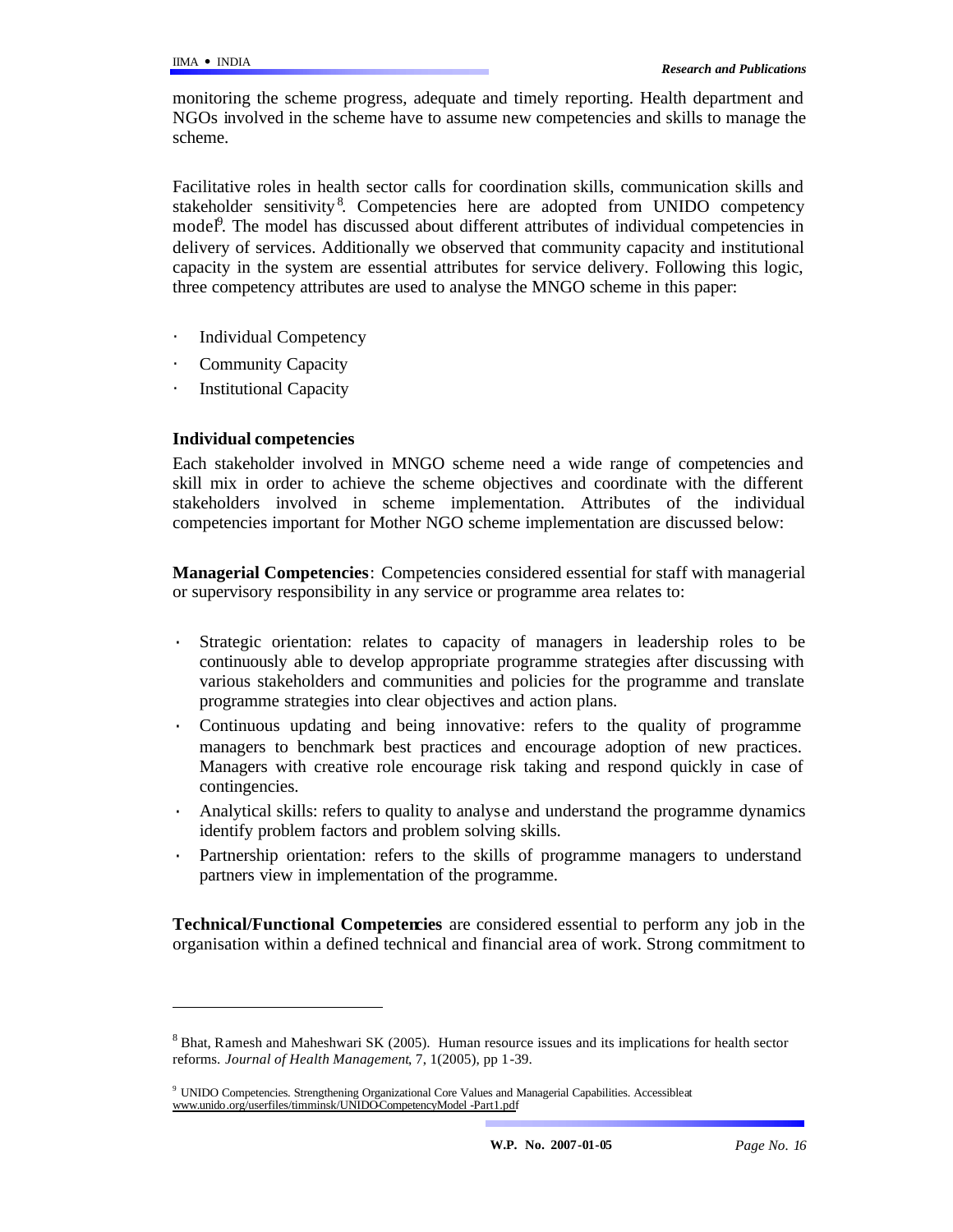monitoring the scheme progress, adequate and timely reporting. Health department and NGOs involved in the scheme have to assume new competencies and skills to manage the scheme.

Facilitative roles in health sector calls for coordination skills, communication skills and stakeholder sensitivity<sup>8</sup>. Competencies here are adopted from UNIDO competency model<sup>9</sup>. The model has discussed about different attributes of individual competencies in delivery of services. Additionally we observed that community capacity and institutional capacity in the system are essential attributes for service delivery. Following this logic, three competency attributes are used to analyse the MNGO scheme in this paper:

- Individual Competency
- Community Capacity
- **Institutional Capacity**

### **Individual competencies**

l

Each stakeholder involved in MNGO scheme need a wide range of competencies and skill mix in order to achieve the scheme objectives and coordinate with the different stakeholders involved in scheme implementation. Attributes of the individual competencies important for Mother NGO scheme implementation are discussed below:

**Managerial Competencies**: Competencies considered essential for staff with managerial or supervisory responsibility in any service or programme area relates to:

- Strategic orientation: relates to capacity of managers in leadership roles to be continuously able to develop appropriate programme strategies after discussing with various stakeholders and communities and policies for the programme and translate programme strategies into clear objectives and action plans.
- · Continuous updating and being innovative: refers to the quality of programme managers to benchmark best practices and encourage adoption of new practices. Managers with creative role encourage risk taking and respond quickly in case of contingencies.
- Analytical skills: refers to quality to analyse and understand the programme dynamics identify problem factors and problem solving skills.
- Partnership orientation: refers to the skills of programme managers to understand partners view in implementation of the programme.

**Technical/Functional Competencies** are considered essential to perform any job in the organisation within a defined technical and financial area of work. Strong commitment to

 $8$  Bhat, Ramesh and Maheshwari SK (2005). Human resource issues and its implications for health sector reforms. *Journal of Health Management*, 7, 1(2005), pp 1-39.

<sup>&</sup>lt;sup>9</sup> UNIDO Competencies. Strengthening Organizational Core Values and Managerial Capabilities. Accessibleat www.unido.org/userfiles/timminsk/UNIDO-CompetencyModel -Part1.pdf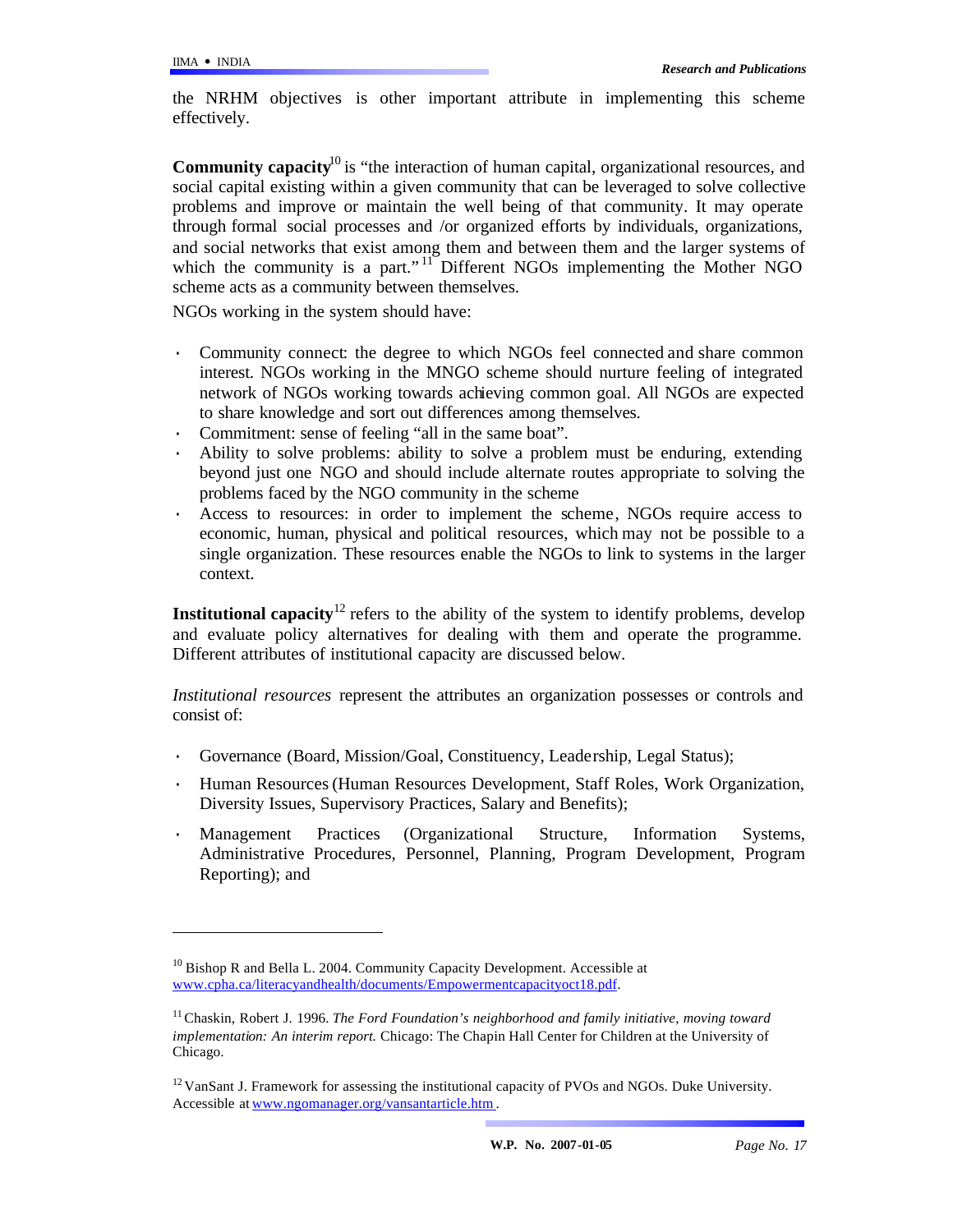l

the NRHM objectives is other important attribute in implementing this scheme effectively.

**Community capacity**<sup>10</sup> is "the interaction of human capital, organizational resources, and social capital existing within a given community that can be leveraged to solve collective problems and improve or maintain the well being of that community. It may operate through formal social processes and /or organized efforts by individuals, organizations, and social networks that exist among them and between them and the larger systems of which the community is a part."<sup>11</sup> Different NGOs implementing the Mother NGO scheme acts as a community between themselves.

NGOs working in the system should have:

- Community connect: the degree to which NGOs feel connected and share common interest. NGOs working in the MNGO scheme should nurture feeling of integrated network of NGOs working towards achieving common goal. All NGOs are expected to share knowledge and sort out differences among themselves.
- Commitment: sense of feeling "all in the same boat".
- · Ability to solve problems: ability to solve a problem must be enduring, extending beyond just one NGO and should include alternate routes appropriate to solving the problems faced by the NGO community in the scheme
- Access to resources: in order to implement the scheme, NGOs require access to economic, human, physical and political resources, which may not be possible to a single organization. These resources enable the NGOs to link to systems in the larger context.

**Institutional capacity**<sup>12</sup> refers to the ability of the system to identify problems, develop and evaluate policy alternatives for dealing with them and operate the programme. Different attributes of institutional capacity are discussed below.

*Institutional resources* represent the attributes an organization possesses or controls and consist of:

- Governance (Board, Mission/Goal, Constituency, Leadership, Legal Status);
- · Human Resources (Human Resources Development, Staff Roles, Work Organization, Diversity Issues, Supervisory Practices, Salary and Benefits);
- · Management Practices (Organizational Structure, Information Systems, Administrative Procedures, Personnel, Planning, Program Development, Program Reporting); and

 $10$  Bishop R and Bella L. 2004. Community Capacity Development. Accessible at www.cpha.ca/literacyandhealth/documents/Empowermentcapacityoct18.pdf.

<sup>&</sup>lt;sup>11</sup> Chaskin, Robert J. 1996. *The Ford Foundation's neighborhood and family initiative, moving toward implementation: An interim report.* Chicago: The Chapin Hall Center for Children at the University of Chicago.

<sup>&</sup>lt;sup>12</sup> VanSant J. Framework for assessing the institutional capacity of PVOs and NGOs. Duke University. Accessible at www.ngomanager.org/vansantarticle.htm .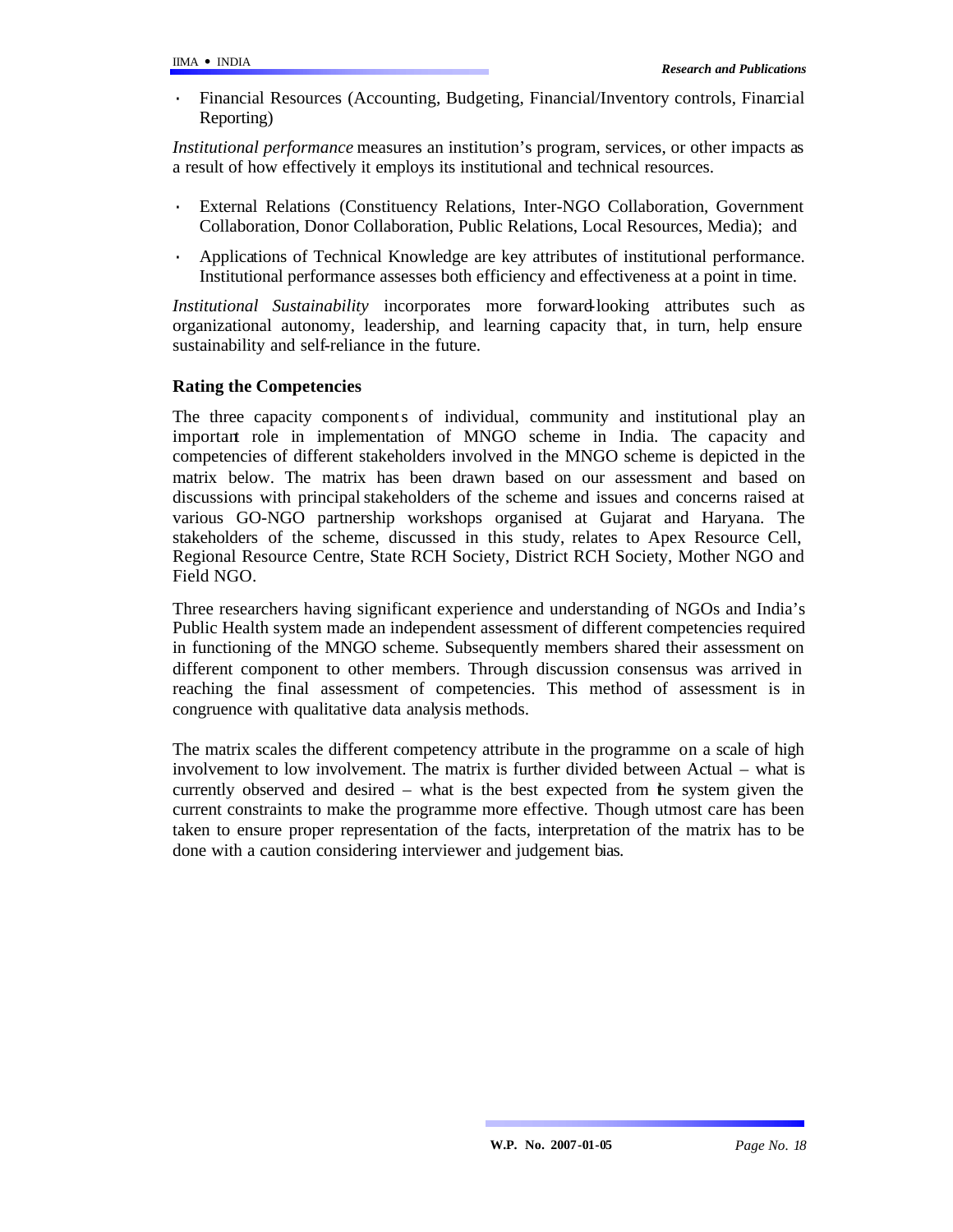· Financial Resources (Accounting, Budgeting, Financial/Inventory controls, Financial Reporting)

*Institutional performance* measures an institution's program, services, or other impacts as a result of how effectively it employs its institutional and technical resources.

- External Relations (Constituency Relations, Inter-NGO Collaboration, Government Collaboration, Donor Collaboration, Public Relations, Local Resources, Media); and
- · Applications of Technical Knowledge are key attributes of institutional performance. Institutional performance assesses both efficiency and effectiveness at a point in time.

*Institutional Sustainability* incorporates more forward-looking attributes such as organizational autonomy, leadership, and learning capacity that, in turn, help ensure sustainability and self-reliance in the future.

### **Rating the Competencies**

The three capacity components of individual, community and institutional play an important role in implementation of MNGO scheme in India. The capacity and competencies of different stakeholders involved in the MNGO scheme is depicted in the matrix below. The matrix has been drawn based on our assessment and based on discussions with principal stakeholders of the scheme and issues and concerns raised at various GO-NGO partnership workshops organised at Gujarat and Haryana. The stakeholders of the scheme, discussed in this study, relates to Apex Resource Cell, Regional Resource Centre, State RCH Society, District RCH Society, Mother NGO and Field NGO.

Three researchers having significant experience and understanding of NGOs and India's Public Health system made an independent assessment of different competencies required in functioning of the MNGO scheme. Subsequently members shared their assessment on different component to other members. Through discussion consensus was arrived in reaching the final assessment of competencies. This method of assessment is in congruence with qualitative data analysis methods.

The matrix scales the different competency attribute in the programme on a scale of high involvement to low involvement. The matrix is further divided between Actual – what is currently observed and desired – what is the best expected from the system given the current constraints to make the programme more effective. Though utmost care has been taken to ensure proper representation of the facts, interpretation of the matrix has to be done with a caution considering interviewer and judgement bias.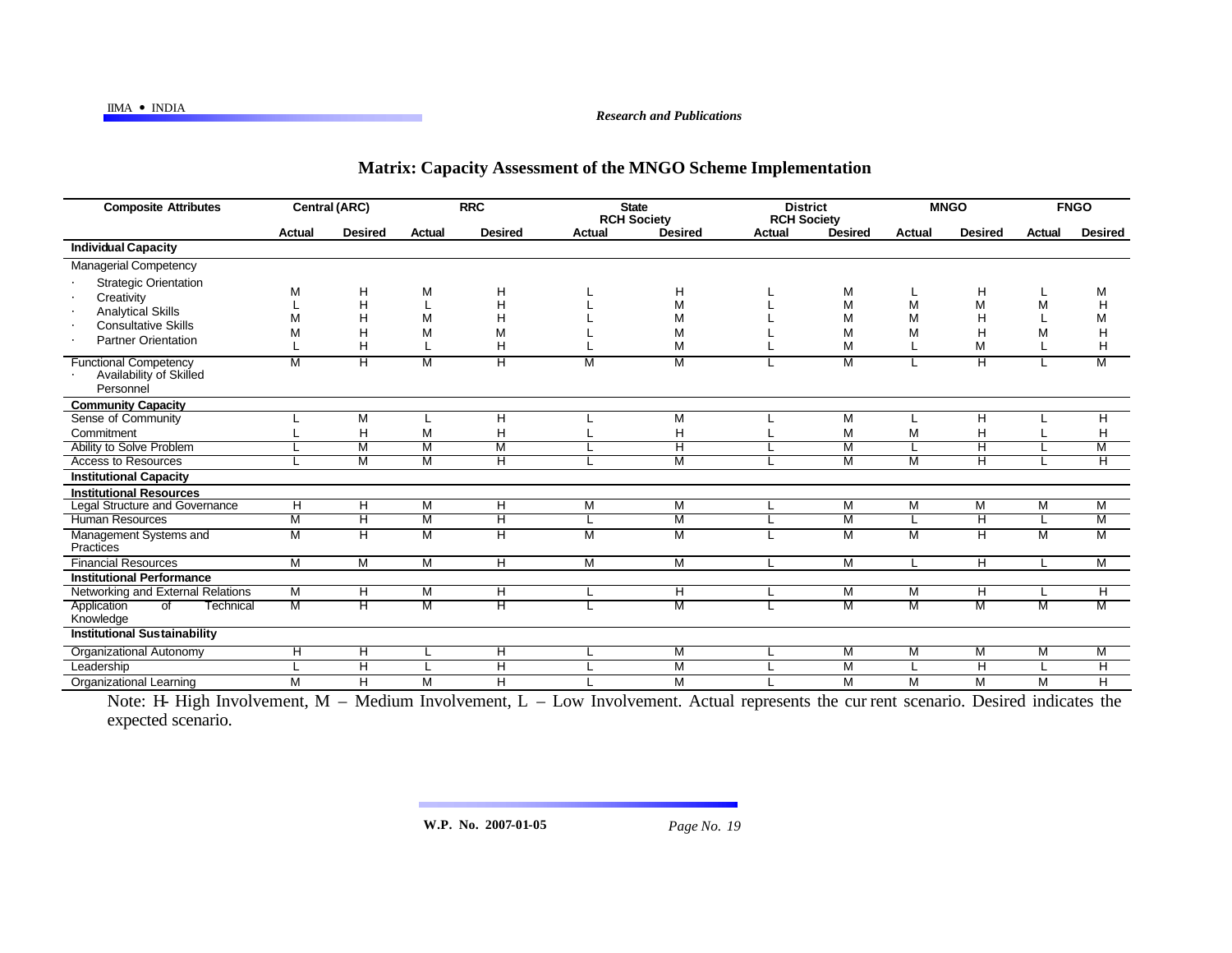## IIMA ó INDIA *Research and Publications*

## **Matrix: Capacity Assessment of the MNGO Scheme Implementation**

| <b>Composite Attributes</b>                                                                                                        | Central (ARC)  |                       | <b>RRC</b>    |                       | <b>State</b><br><b>RCH Society</b> |                         | <b>District</b><br><b>RCH Society</b> |                       | <b>MNGO</b>    |                         | <b>FNGO</b>   |                       |
|------------------------------------------------------------------------------------------------------------------------------------|----------------|-----------------------|---------------|-----------------------|------------------------------------|-------------------------|---------------------------------------|-----------------------|----------------|-------------------------|---------------|-----------------------|
|                                                                                                                                    | Actual         | <b>Desired</b>        | <b>Actual</b> | <b>Desired</b>        | Actual                             | <b>Desired</b>          | Actual                                | <b>Desired</b>        | <b>Actual</b>  | <b>Desired</b>          | <b>Actual</b> | <b>Desired</b>        |
| <b>Individual Capacity</b>                                                                                                         |                |                       |               |                       |                                    |                         |                                       |                       |                |                         |               |                       |
| <b>Managerial Competency</b>                                                                                                       |                |                       |               |                       |                                    |                         |                                       |                       |                |                         |               |                       |
| <b>Strategic Orientation</b><br>Creativity<br><b>Analytical Skills</b><br><b>Consultative Skills</b><br><b>Partner Orientation</b> | М<br>М         | н<br>H<br>H<br>H<br>Н | M<br>М<br>M   | Н<br>H<br>Н<br>M<br>H |                                    | Н<br>M<br>M<br>M<br>M   |                                       | M<br>M<br>M<br>M<br>M | M<br>M<br>M    | Н<br>M<br>н<br>H<br>M   | M<br>м        | M<br>H<br>M<br>H<br>H |
| <b>Functional Competency</b><br>Availability of Skilled<br>Personnel                                                               | м              | Η                     | M             | Ή                     | M                                  | M                       |                                       | M                     |                | $\overline{\mathsf{H}}$ |               | M                     |
| <b>Community Capacity</b>                                                                                                          |                |                       |               |                       |                                    |                         |                                       |                       |                |                         |               |                       |
| Sense of Community                                                                                                                 |                | M                     |               | Н                     |                                    | M                       |                                       | M                     |                | н                       |               | H                     |
| Commitment                                                                                                                         |                | H                     | M             | H                     |                                    | H                       |                                       | M                     | M              | H                       |               | H                     |
| Ability to Solve Problem                                                                                                           |                | М                     | M             | M                     |                                    | $\overline{\mathsf{H}}$ |                                       | M                     |                | π                       |               | M                     |
| <b>Access to Resources</b>                                                                                                         |                | М                     | M             | Η                     |                                    | М                       |                                       | M                     | М              | π                       |               | Ή                     |
| <b>Institutional Capacity</b>                                                                                                      |                |                       |               |                       |                                    |                         |                                       |                       |                |                         |               |                       |
| <b>Institutional Resources</b>                                                                                                     |                |                       |               |                       |                                    |                         |                                       |                       |                |                         |               |                       |
| Legal Structure and Governance                                                                                                     | $\overline{H}$ | Η                     | M             | Ή                     | $\overline{M}$                     | M                       |                                       | $\overline{M}$        | $\overline{M}$ | M                       | M             | M                     |
| <b>Human Resources</b>                                                                                                             | М              | Η                     | M             | н                     |                                    | M                       |                                       | M                     |                | $\overline{\mathsf{H}}$ |               | M                     |
| Management Systems and<br>Practices                                                                                                | M              | Η                     | M             | Η                     | M                                  | M                       |                                       | M                     | M              | $\overline{\mathsf{H}}$ | M             | M                     |
| <b>Financial Resources</b>                                                                                                         | M              | M                     | M             | H                     | M                                  | M                       |                                       | M                     |                | H                       |               | M                     |
| <b>Institutional Performance</b>                                                                                                   |                |                       |               |                       |                                    |                         |                                       |                       |                |                         |               |                       |
| Networking and External Relations                                                                                                  | M              | H                     | M             | H                     |                                    | H                       |                                       | M                     | M              | H                       |               | Ē.                    |
| $\overline{of}$<br>Application<br>Technical<br>Knowledge                                                                           | М              | Η                     | M             | Η                     |                                    | M                       |                                       | M                     | M              | M                       | M             | M                     |
| <b>Institutional Sustainability</b>                                                                                                |                |                       |               |                       |                                    |                         |                                       |                       |                |                         |               |                       |
| <b>Organizational Autonomy</b>                                                                                                     | Ή              | Η                     |               | Ή                     |                                    | M                       |                                       | M                     | M              | M                       | М             | M                     |
| Leadership                                                                                                                         |                | н                     |               | H                     |                                    | M                       |                                       | M                     |                | H                       |               | H                     |
| <b>Organizational Learning</b>                                                                                                     | M              | Η                     | M             | H                     |                                    | M                       |                                       | M                     | M              | M                       | M             | Η                     |

Note: H- High Involvement, M – Medium Involvement, L – Low Involvement. Actual represents the cur rent scenario. Desired indicates the expected scenario.

**W.P. No. 2007-01-05** *Page No. 19*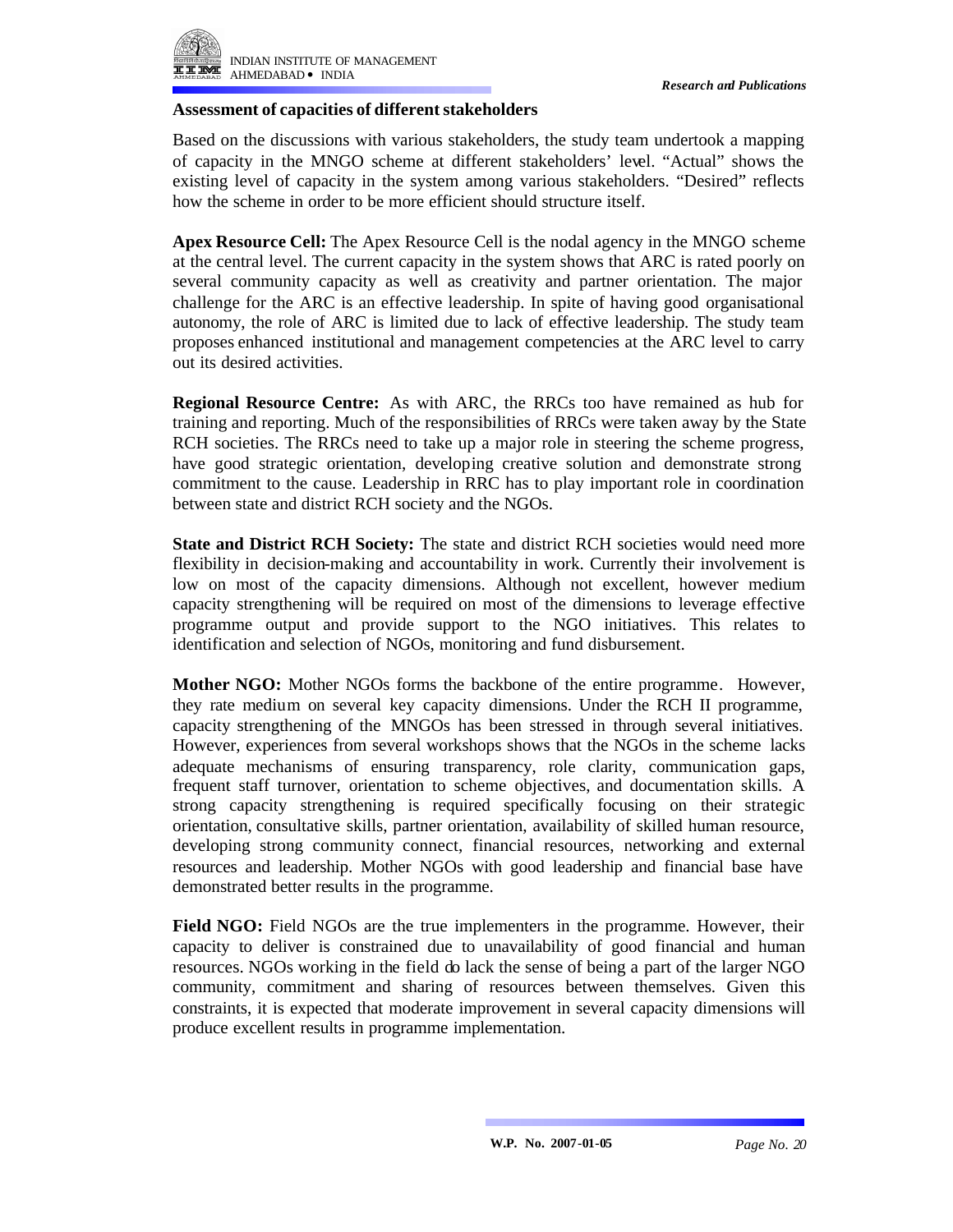

### **Assessment of capacities of different stakeholders**

Based on the discussions with various stakeholders, the study team undertook a mapping of capacity in the MNGO scheme at different stakeholders' level. "Actual" shows the existing level of capacity in the system among various stakeholders. "Desired" reflects how the scheme in order to be more efficient should structure itself.

**Apex Resource Cell:** The Apex Resource Cell is the nodal agency in the MNGO scheme at the central level. The current capacity in the system shows that ARC is rated poorly on several community capacity as well as creativity and partner orientation. The major challenge for the ARC is an effective leadership. In spite of having good organisational autonomy, the role of ARC is limited due to lack of effective leadership. The study team proposes enhanced institutional and management competencies at the ARC level to carry out its desired activities.

**Regional Resource Centre:** As with ARC, the RRCs too have remained as hub for training and reporting. Much of the responsibilities of RRCs were taken away by the State RCH societies. The RRCs need to take up a major role in steering the scheme progress, have good strategic orientation, developing creative solution and demonstrate strong commitment to the cause. Leadership in RRC has to play important role in coordination between state and district RCH society and the NGOs.

**State and District RCH Society:** The state and district RCH societies would need more flexibility in decision-making and accountability in work. Currently their involvement is low on most of the capacity dimensions. Although not excellent, however medium capacity strengthening will be required on most of the dimensions to leverage effective programme output and provide support to the NGO initiatives. This relates to identification and selection of NGOs, monitoring and fund disbursement.

**Mother NGO:** Mother NGOs forms the backbone of the entire programme. However, they rate medium on several key capacity dimensions. Under the RCH II programme, capacity strengthening of the MNGOs has been stressed in through several initiatives. However, experiences from several workshops shows that the NGOs in the scheme lacks adequate mechanisms of ensuring transparency, role clarity, communication gaps, frequent staff turnover, orientation to scheme objectives, and documentation skills. A strong capacity strengthening is required specifically focusing on their strategic orientation, consultative skills, partner orientation, availability of skilled human resource, developing strong community connect, financial resources, networking and external resources and leadership. Mother NGOs with good leadership and financial base have demonstrated better results in the programme.

**Field NGO:** Field NGOs are the true implementers in the programme. However, their capacity to deliver is constrained due to unavailability of good financial and human resources. NGOs working in the field do lack the sense of being a part of the larger NGO community, commitment and sharing of resources between themselves. Given this constraints, it is expected that moderate improvement in several capacity dimensions will produce excellent results in programme implementation.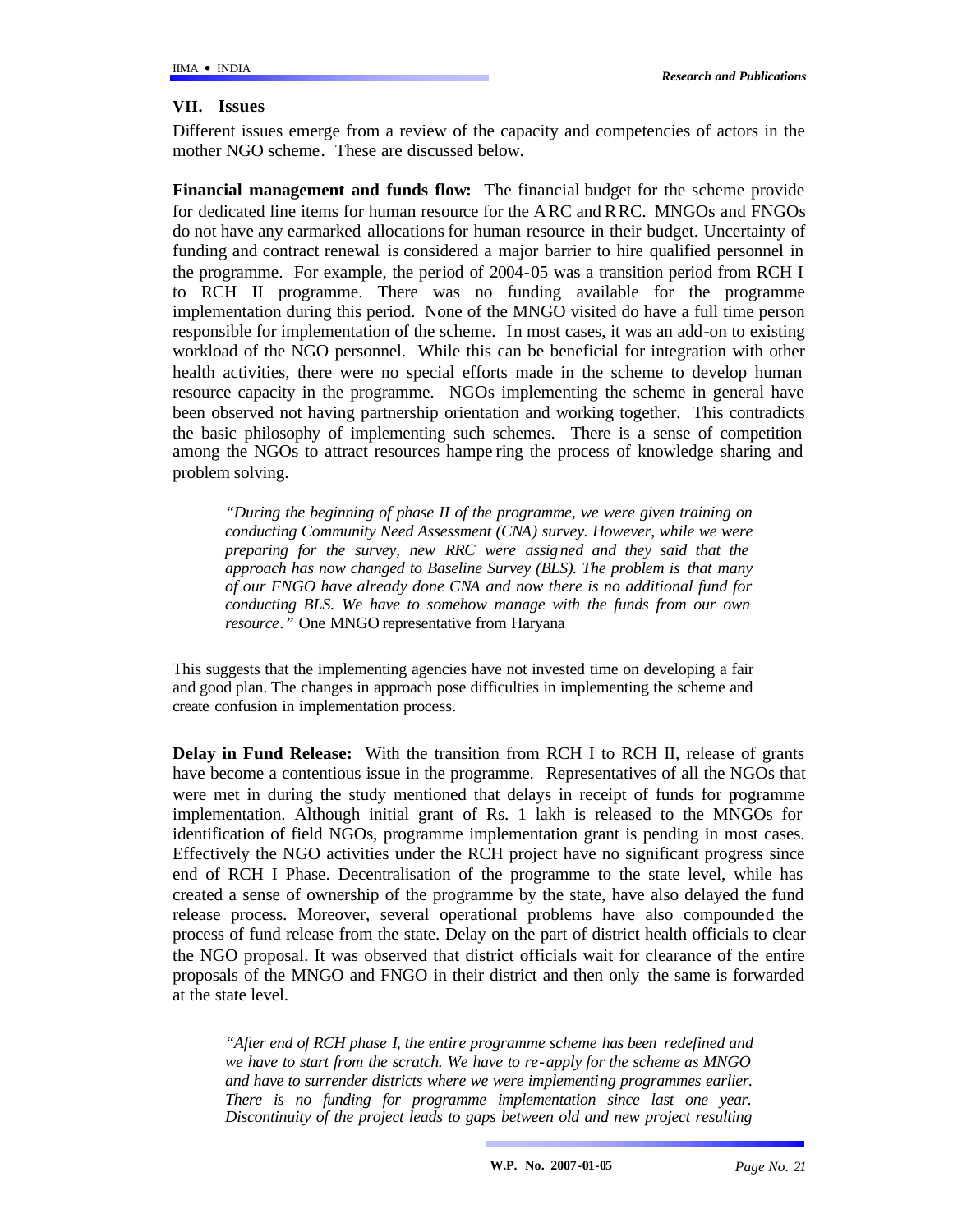### **VII. Issues**

Different issues emerge from a review of the capacity and competencies of actors in the mother NGO scheme. These are discussed below.

**Financial management and funds flow:** The financial budget for the scheme provide for dedicated line items for human resource for the ARC and RRC. MNGOs and FNGOs do not have any earmarked allocations for human resource in their budget. Uncertainty of funding and contract renewal is considered a major barrier to hire qualified personnel in the programme. For example, the period of 2004-05 was a transition period from RCH I to RCH II programme. There was no funding available for the programme implementation during this period. None of the MNGO visited do have a full time person responsible for implementation of the scheme. In most cases, it was an add-on to existing workload of the NGO personnel. While this can be beneficial for integration with other health activities, there were no special efforts made in the scheme to develop human resource capacity in the programme. NGOs implementing the scheme in general have been observed not having partnership orientation and working together. This contradicts the basic philosophy of implementing such schemes. There is a sense of competition among the NGOs to attract resources hampe ring the process of knowledge sharing and problem solving.

*"During the beginning of phase II of the programme, we were given training on conducting Community Need Assessment (CNA) survey. However, while we were preparing for the survey, new RRC were assigned and they said that the approach has now changed to Baseline Survey (BLS). The problem is that many of our FNGO have already done CNA and now there is no additional fund for conducting BLS. We have to somehow manage with the funds from our own resource."* One MNGO representative from Haryana

This suggests that the implementing agencies have not invested time on developing a fair and good plan. The changes in approach pose difficulties in implementing the scheme and create confusion in implementation process.

**Delay in Fund Release:** With the transition from RCH I to RCH II, release of grants have become a contentious issue in the programme. Representatives of all the NGOs that were met in during the study mentioned that delays in receipt of funds for programme implementation. Although initial grant of Rs. 1 lakh is released to the MNGOs for identification of field NGOs, programme implementation grant is pending in most cases. Effectively the NGO activities under the RCH project have no significant progress since end of RCH I Phase. Decentralisation of the programme to the state level, while has created a sense of ownership of the programme by the state, have also delayed the fund release process. Moreover, several operational problems have also compounded the process of fund release from the state. Delay on the part of district health officials to clear the NGO proposal. It was observed that district officials wait for clearance of the entire proposals of the MNGO and FNGO in their district and then only the same is forwarded at the state level.

*"After end of RCH phase I, the entire programme scheme has been redefined and we have to start from the scratch. We have to re-apply for the scheme as MNGO and have to surrender districts where we were implementing programmes earlier. There is no funding for programme implementation since last one year. Discontinuity of the project leads to gaps between old and new project resulting*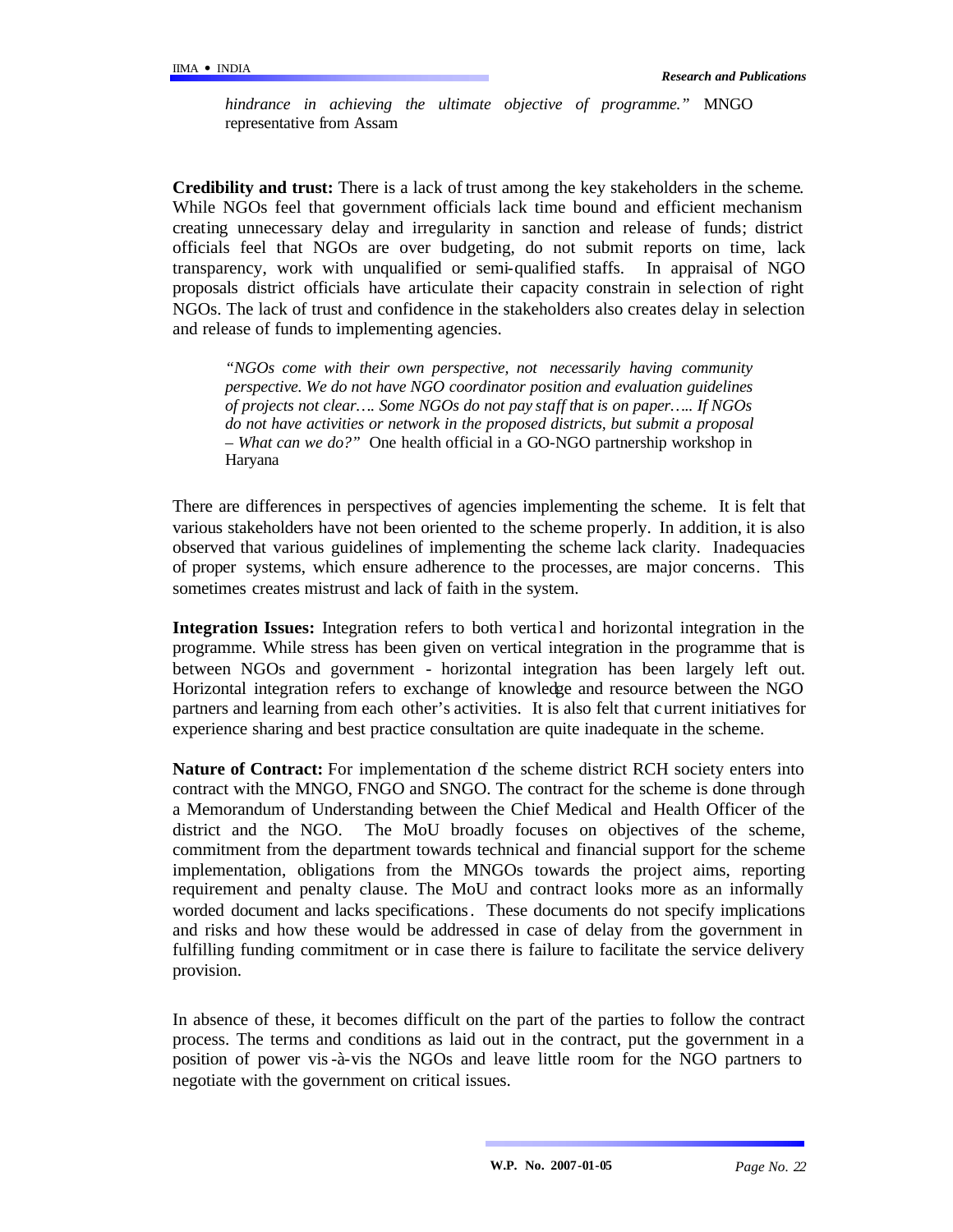*hindrance in achieving the ultimate objective of programme."* MNGO representative from Assam

**Credibility and trust:** There is a lack of trust among the key stakeholders in the scheme. While NGOs feel that government officials lack time bound and efficient mechanism creating unnecessary delay and irregularity in sanction and release of funds; district officials feel that NGOs are over budgeting, do not submit reports on time, lack transparency, work with unqualified or semi-qualified staffs. In appraisal of NGO proposals district officials have articulate their capacity constrain in selection of right NGOs. The lack of trust and confidence in the stakeholders also creates delay in selection and release of funds to implementing agencies.

*"NGOs come with their own perspective, not necessarily having community perspective. We do not have NGO coordinator position and evaluation guidelines of projects not clear…. Some NGOs do not pay staff that is on paper….. If NGOs do not have activities or network in the proposed districts, but submit a proposal – What can we do?"* One health official in a GO-NGO partnership workshop in Haryana

There are differences in perspectives of agencies implementing the scheme. It is felt that various stakeholders have not been oriented to the scheme properly. In addition, it is also observed that various guidelines of implementing the scheme lack clarity. Inadequacies of proper systems, which ensure adherence to the processes, are major concerns. This sometimes creates mistrust and lack of faith in the system.

**Integration Issues:** Integration refers to both vertical and horizontal integration in the programme. While stress has been given on vertical integration in the programme that is between NGOs and government - horizontal integration has been largely left out. Horizontal integration refers to exchange of knowledge and resource between the NGO partners and learning from each other's activities. It is also felt that current initiatives for experience sharing and best practice consultation are quite inadequate in the scheme.

**Nature of Contract:** For implementation of the scheme district RCH society enters into contract with the MNGO, FNGO and SNGO. The contract for the scheme is done through a Memorandum of Understanding between the Chief Medical and Health Officer of the district and the NGO. The MoU broadly focuses on objectives of the scheme, commitment from the department towards technical and financial support for the scheme implementation, obligations from the MNGOs towards the project aims, reporting requirement and penalty clause. The MoU and contract looks more as an informally worded document and lacks specifications. These documents do not specify implications and risks and how these would be addressed in case of delay from the government in fulfilling funding commitment or in case there is failure to facilitate the service delivery provision.

In absence of these, it becomes difficult on the part of the parties to follow the contract process. The terms and conditions as laid out in the contract, put the government in a position of power vis-à-vis the NGOs and leave little room for the NGO partners to negotiate with the government on critical issues.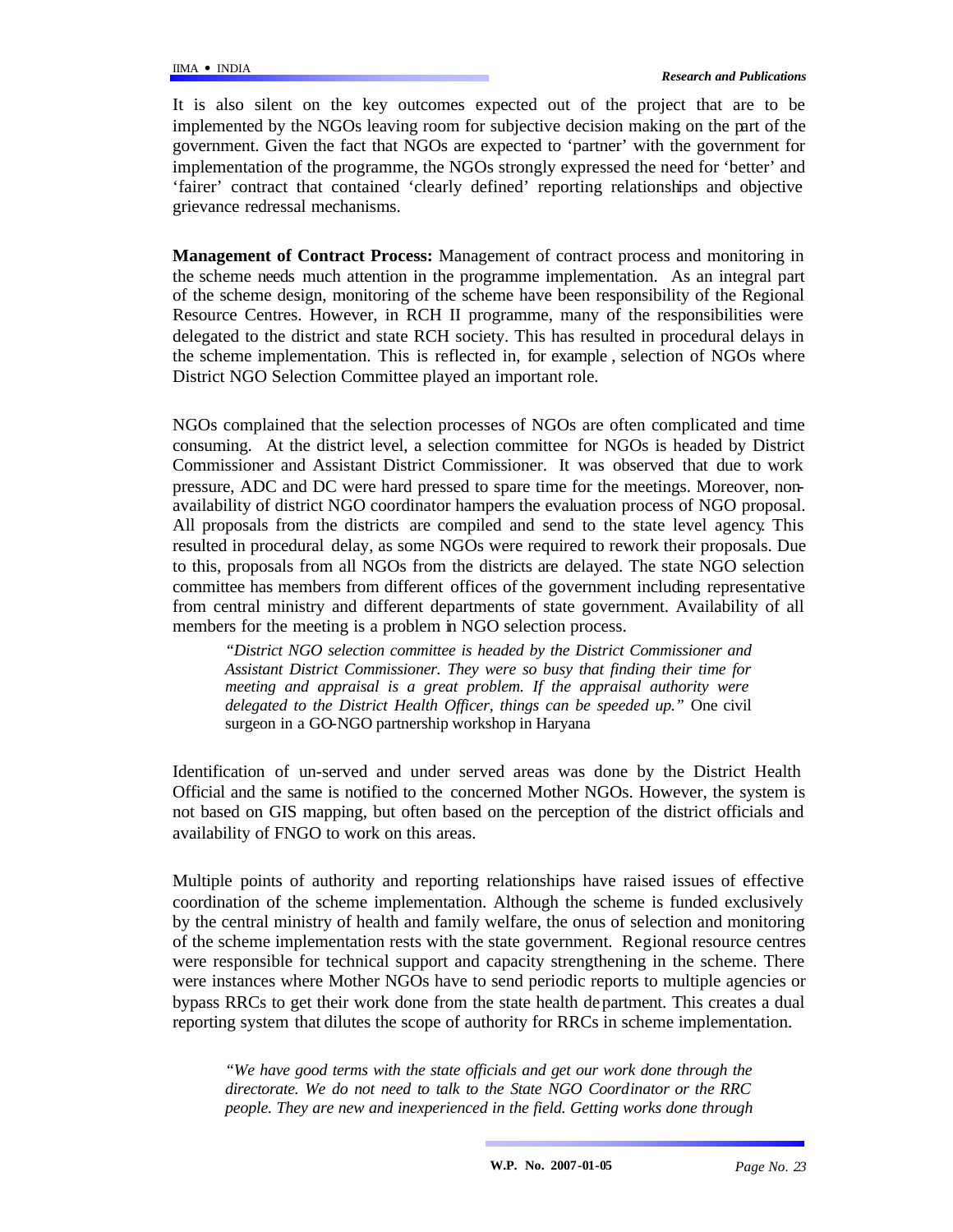It is also silent on the key outcomes expected out of the project that are to be implemented by the NGOs leaving room for subjective decision making on the part of the government. Given the fact that NGOs are expected to 'partner' with the government for implementation of the programme, the NGOs strongly expressed the need for 'better' and 'fairer' contract that contained 'clearly defined' reporting relationships and objective grievance redressal mechanisms.

**Management of Contract Process:** Management of contract process and monitoring in the scheme needs much attention in the programme implementation. As an integral part of the scheme design, monitoring of the scheme have been responsibility of the Regional Resource Centres. However, in RCH II programme, many of the responsibilities were delegated to the district and state RCH society. This has resulted in procedural delays in the scheme implementation. This is reflected in, for example , selection of NGOs where District NGO Selection Committee played an important role.

NGOs complained that the selection processes of NGOs are often complicated and time consuming. At the district level, a selection committee for NGOs is headed by District Commissioner and Assistant District Commissioner. It was observed that due to work pressure, ADC and DC were hard pressed to spare time for the meetings. Moreover, nonavailability of district NGO coordinator hampers the evaluation process of NGO proposal. All proposals from the districts are compiled and send to the state level agency. This resulted in procedural delay, as some NGOs were required to rework their proposals. Due to this, proposals from all NGOs from the districts are delayed. The state NGO selection committee has members from different offices of the government including representative from central ministry and different departments of state government. Availability of all members for the meeting is a problem in NGO selection process.

*"District NGO selection committee is headed by the District Commissioner and Assistant District Commissioner. They were so busy that finding their time for meeting and appraisal is a great problem. If the appraisal authority were delegated to the District Health Officer, things can be speeded up."* One civil surgeon in a GO-NGO partnership workshop in Haryana

Identification of un-served and under served areas was done by the District Health Official and the same is notified to the concerned Mother NGOs. However, the system is not based on GIS mapping, but often based on the perception of the district officials and availability of FNGO to work on this areas.

Multiple points of authority and reporting relationships have raised issues of effective coordination of the scheme implementation. Although the scheme is funded exclusively by the central ministry of health and family welfare, the onus of selection and monitoring of the scheme implementation rests with the state government. Regional resource centres were responsible for technical support and capacity strengthening in the scheme. There were instances where Mother NGOs have to send periodic reports to multiple agencies or bypass RRCs to get their work done from the state health de partment. This creates a dual reporting system that dilutes the scope of authority for RRCs in scheme implementation.

*"We have good terms with the state officials and get our work done through the directorate. We do not need to talk to the State NGO Coordinator or the RRC people. They are new and inexperienced in the field. Getting works done through*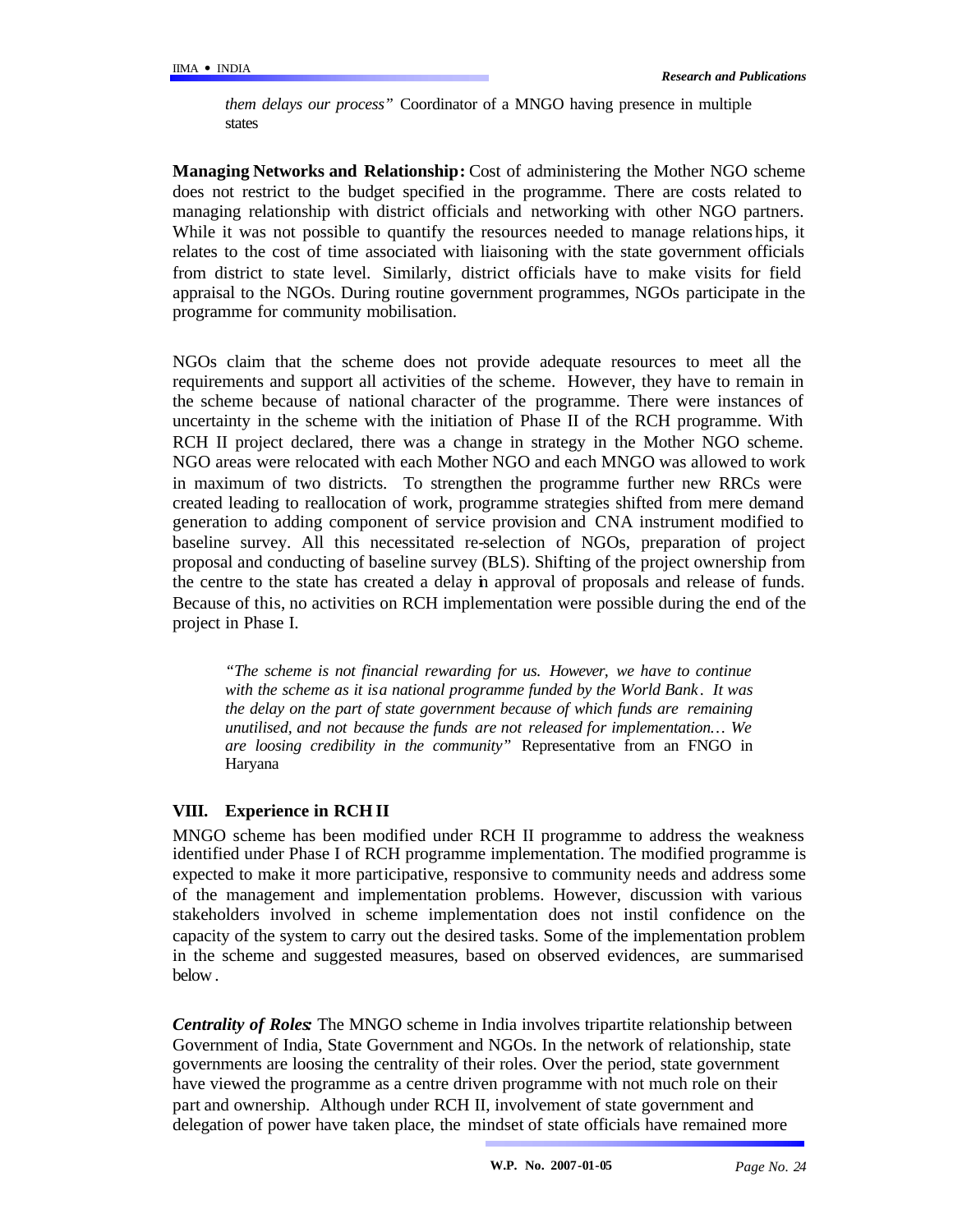*them delays our process"* Coordinator of a MNGO having presence in multiple states

**Managing Networks and Relationship:** Cost of administering the Mother NGO scheme does not restrict to the budget specified in the programme. There are costs related to managing relationship with district officials and networking with other NGO partners. While it was not possible to quantify the resources needed to manage relations hips, it relates to the cost of time associated with liaisoning with the state government officials from district to state level. Similarly, district officials have to make visits for field appraisal to the NGOs. During routine government programmes, NGOs participate in the programme for community mobilisation.

NGOs claim that the scheme does not provide adequate resources to meet all the requirements and support all activities of the scheme. However, they have to remain in the scheme because of national character of the programme. There were instances of uncertainty in the scheme with the initiation of Phase II of the RCH programme. With RCH II project declared, there was a change in strategy in the Mother NGO scheme. NGO areas were relocated with each Mother NGO and each MNGO was allowed to work in maximum of two districts. To strengthen the programme further new RRCs were created leading to reallocation of work, programme strategies shifted from mere demand generation to adding component of service provision and CNA instrument modified to baseline survey. All this necessitated re-selection of NGOs, preparation of project proposal and conducting of baseline survey (BLS). Shifting of the project ownership from the centre to the state has created a delay in approval of proposals and release of funds. Because of this, no activities on RCH implementation were possible during the end of the project in Phase I.

*"The scheme is not financial rewarding for us. However, we have to continue with the scheme as it is a national programme funded by the World Bank . It was the delay on the part of state government because of which funds are remaining unutilised, and not because the funds are not released for implementation… We are loosing credibility in the community"* Representative from an FNGO in Haryana

### **VIII. Experience in RCH II**

MNGO scheme has been modified under RCH II programme to address the weakness identified under Phase I of RCH programme implementation. The modified programme is expected to make it more participative, responsive to community needs and address some of the management and implementation problems. However, discussion with various stakeholders involved in scheme implementation does not instil confidence on the capacity of the system to carry out the desired tasks. Some of the implementation problem in the scheme and suggested measures, based on observed evidences, are summarised below .

*Centrality of Roles:* The MNGO scheme in India involves tripartite relationship between Government of India, State Government and NGOs. In the network of relationship, state governments are loosing the centrality of their roles. Over the period, state government have viewed the programme as a centre driven programme with not much role on their part and ownership. Although under RCH II, involvement of state government and delegation of power have taken place, the mindset of state officials have remained more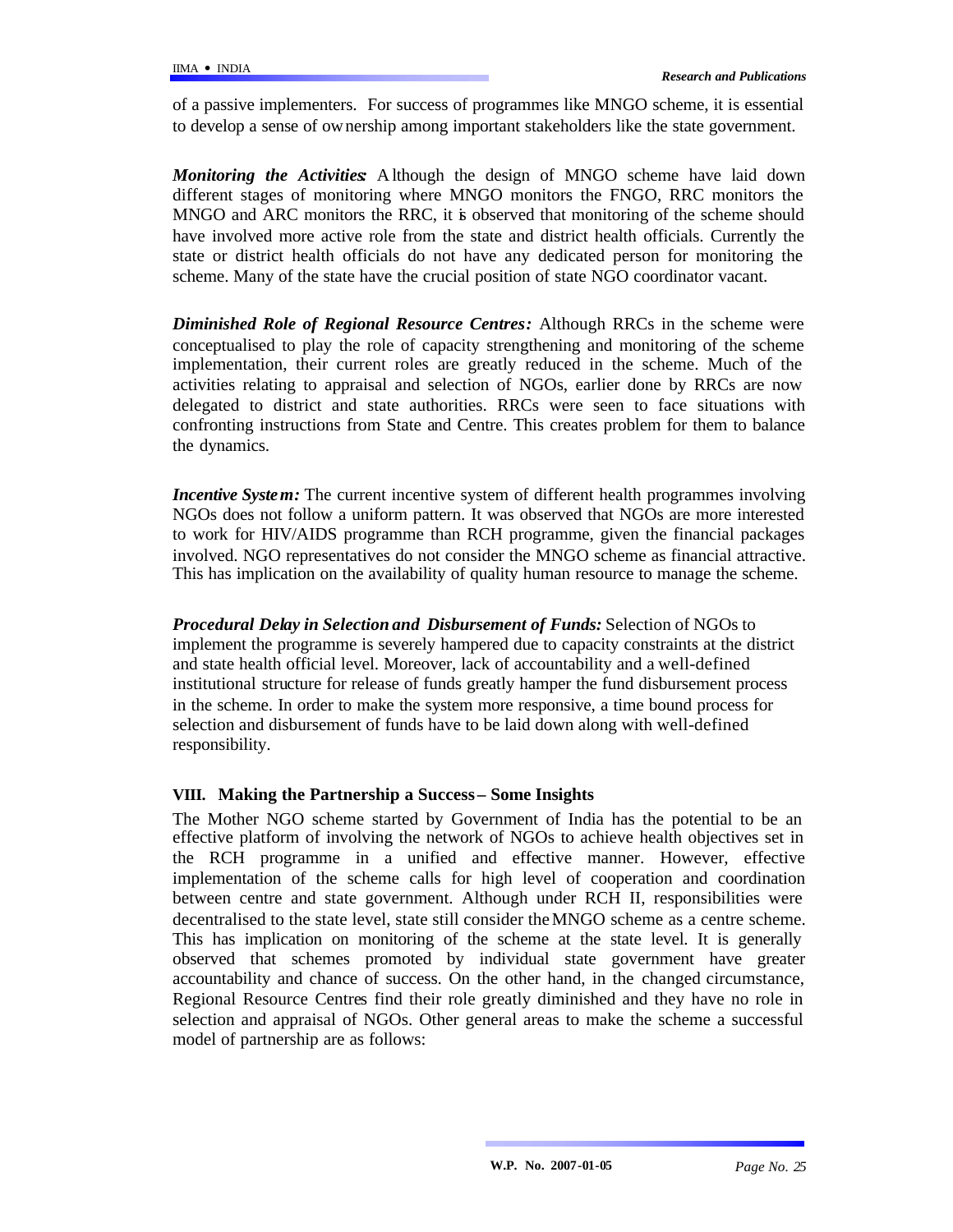of a passive implementers. For success of programmes like MNGO scheme, it is essential to develop a sense of ownership among important stakeholders like the state government.

*Monitoring the Activities:* A lthough the design of MNGO scheme have laid down different stages of monitoring where MNGO monitors the FNGO, RRC monitors the MNGO and ARC monitors the RRC, it is observed that monitoring of the scheme should have involved more active role from the state and district health officials. Currently the state or district health officials do not have any dedicated person for monitoring the scheme. Many of the state have the crucial position of state NGO coordinator vacant.

*Diminished Role of Regional Resource Centres:* Although RRCs in the scheme were conceptualised to play the role of capacity strengthening and monitoring of the scheme implementation, their current roles are greatly reduced in the scheme. Much of the activities relating to appraisal and selection of NGOs, earlier done by RRCs are now delegated to district and state authorities. RRCs were seen to face situations with confronting instructions from State and Centre. This creates problem for them to balance the dynamics.

*Incentive System:* The current incentive system of different health programmes involving NGOs does not follow a uniform pattern. It was observed that NGOs are more interested to work for HIV/AIDS programme than RCH programme, given the financial packages involved. NGO representatives do not consider the MNGO scheme as financial attractive. This has implication on the availability of quality human resource to manage the scheme.

*Procedural Delay in Selection and Disbursement of Funds:* Selection of NGOs to implement the programme is severely hampered due to capacity constraints at the district and state health official level. Moreover, lack of accountability and a well-defined institutional structure for release of funds greatly hamper the fund disbursement process in the scheme. In order to make the system more responsive, a time bound process for selection and disbursement of funds have to be laid down along with well-defined responsibility.

### **VIII. Making the Partnership a Success – Some Insights**

The Mother NGO scheme started by Government of India has the potential to be an effective platform of involving the network of NGOs to achieve health objectives set in the RCH programme in a unified and effective manner. However, effective implementation of the scheme calls for high level of cooperation and coordination between centre and state government. Although under RCH II, responsibilities were decentralised to the state level, state still consider the MNGO scheme as a centre scheme. This has implication on monitoring of the scheme at the state level. It is generally observed that schemes promoted by individual state government have greater accountability and chance of success. On the other hand, in the changed circumstance, Regional Resource Centres find their role greatly diminished and they have no role in selection and appraisal of NGOs. Other general areas to make the scheme a successful model of partnership are as follows: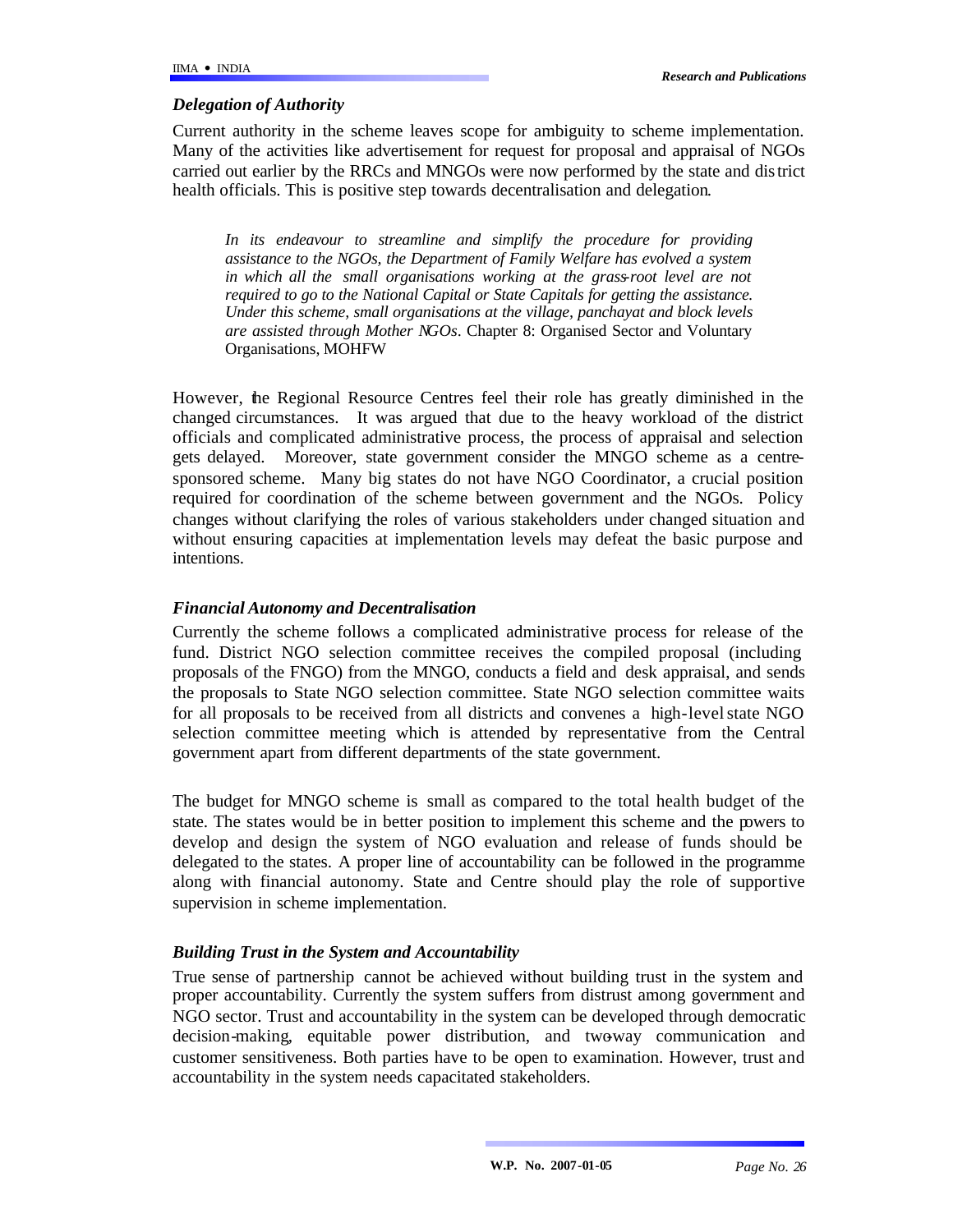### *Delegation of Authority*

Current authority in the scheme leaves scope for ambiguity to scheme implementation. Many of the activities like advertisement for request for proposal and appraisal of NGOs carried out earlier by the RRCs and MNGOs were now performed by the state and district health officials. This is positive step towards decentralisation and delegation.

*In its endeavour to streamline and simplify the procedure for providing assistance to the NGOs, the Department of Family Welfare has evolved a system in which all the small organisations working at the grass-root level are not required to go to the National Capital or State Capitals for getting the assistance. Under this scheme, small organisations at the village, panchayat and block levels are assisted through Mother NGOs.* Chapter 8: Organised Sector and Voluntary Organisations, MOHFW

However, the Regional Resource Centres feel their role has greatly diminished in the changed circumstances. It was argued that due to the heavy workload of the district officials and complicated administrative process, the process of appraisal and selection gets delayed. Moreover, state government consider the MNGO scheme as a centresponsored scheme. Many big states do not have NGO Coordinator, a crucial position required for coordination of the scheme between government and the NGOs. Policy changes without clarifying the roles of various stakeholders under changed situation and without ensuring capacities at implementation levels may defeat the basic purpose and intentions.

## *Financial Autonomy and Decentralisation*

Currently the scheme follows a complicated administrative process for release of the fund. District NGO selection committee receives the compiled proposal (including proposals of the FNGO) from the MNGO, conducts a field and desk appraisal, and sends the proposals to State NGO selection committee. State NGO selection committee waits for all proposals to be received from all districts and convenes a high-level state NGO selection committee meeting which is attended by representative from the Central government apart from different departments of the state government.

The budget for MNGO scheme is small as compared to the total health budget of the state. The states would be in better position to implement this scheme and the powers to develop and design the system of NGO evaluation and release of funds should be delegated to the states. A proper line of accountability can be followed in the programme along with financial autonomy. State and Centre should play the role of supportive supervision in scheme implementation.

### *Building Trust in the System and Accountability*

True sense of partnership cannot be achieved without building trust in the system and proper accountability. Currently the system suffers from distrust among government and NGO sector. Trust and accountability in the system can be developed through democratic decision-making, equitable power distribution, and two-way communication and customer sensitiveness. Both parties have to be open to examination. However, trust and accountability in the system needs capacitated stakeholders.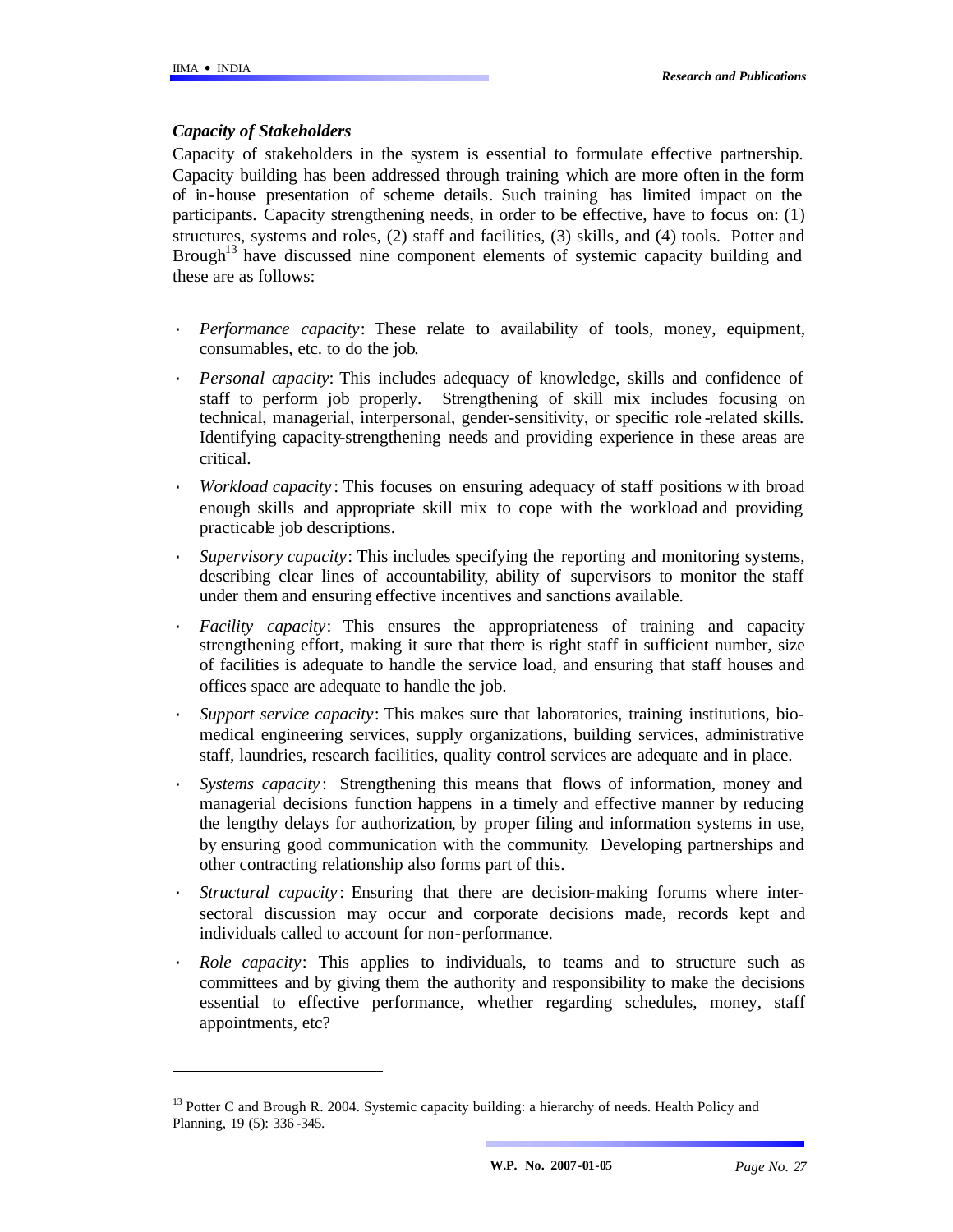l

## *Capacity of Stakeholders*

Capacity of stakeholders in the system is essential to formulate effective partnership. Capacity building has been addressed through training which are more often in the form of in-house presentation of scheme details. Such training has limited impact on the participants. Capacity strengthening needs, in order to be effective, have to focus on: (1) structures, systems and roles, (2) staff and facilities, (3) skills, and (4) tools. Potter and Brough<sup>13</sup> have discussed nine component elements of systemic capacity building and these are as follows:

- · *Performance capacity*: These relate to availability of tools, money, equipment, consumables, etc. to do the job.
- · *Personal capacity*: This includes adequacy of knowledge, skills and confidence of staff to perform job properly. Strengthening of skill mix includes focusing on technical, managerial, interpersonal, gender-sensitivity, or specific role -related skills. Identifying capacity-strengthening needs and providing experience in these areas are critical.
- *Workload capacity*: This focuses on ensuring adequacy of staff positions with broad enough skills and appropriate skill mix to cope with the workload and providing practicable job descriptions.
- Supervisory capacity: This includes specifying the reporting and monitoring systems, describing clear lines of accountability, ability of supervisors to monitor the staff under them and ensuring effective incentives and sanctions available.
- *Facility capacity*: This ensures the appropriateness of training and capacity strengthening effort, making it sure that there is right staff in sufficient number, size of facilities is adequate to handle the service load, and ensuring that staff houses and offices space are adequate to handle the job.
- · *Support service capacity*: This makes sure that laboratories, training institutions, biomedical engineering services, supply organizations, building services, administrative staff, laundries, research facilities, quality control services are adequate and in place.
- · *Systems capacity* : Strengthening this means that flows of information, money and managerial decisions function happens in a timely and effective manner by reducing the lengthy delays for authorization, by proper filing and information systems in use, by ensuring good communication with the community. Developing partnerships and other contracting relationship also forms part of this.
- *Structural capacity*: Ensuring that there are decision-making forums where intersectoral discussion may occur and corporate decisions made, records kept and individuals called to account for non-performance.
- *Role capacity*: This applies to individuals, to teams and to structure such as committees and by giving them the authority and responsibility to make the decisions essential to effective performance, whether regarding schedules, money, staff appointments, etc?

<sup>&</sup>lt;sup>13</sup> Potter C and Brough R. 2004. Systemic capacity building: a hierarchy of needs. Health Policy and Planning, 19 (5): 336 -345.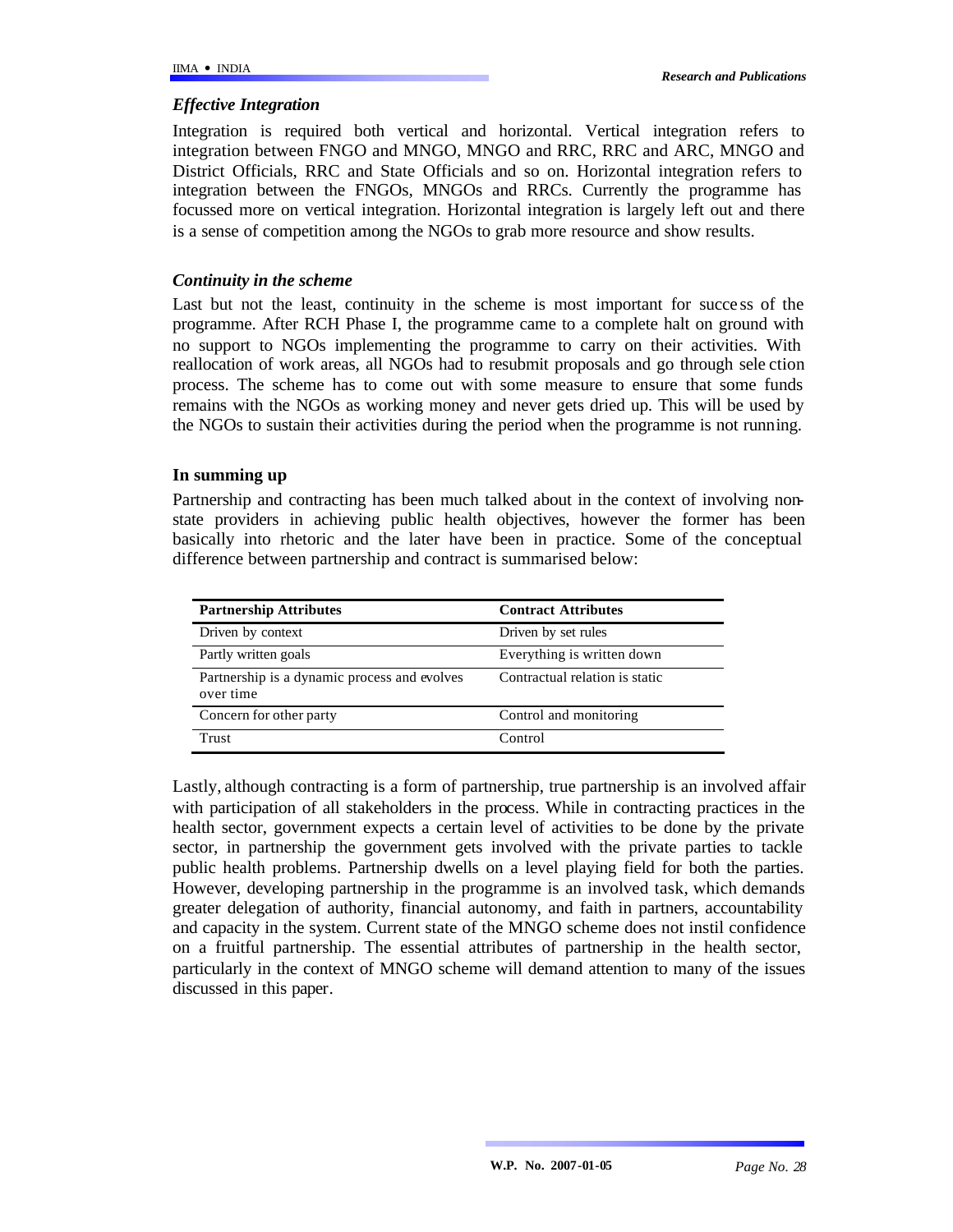### *Effective Integration*

Integration is required both vertical and horizontal. Vertical integration refers to integration between FNGO and MNGO, MNGO and RRC, RRC and ARC, MNGO and District Officials, RRC and State Officials and so on. Horizontal integration refers to integration between the FNGOs, MNGOs and RRCs. Currently the programme has focussed more on vertical integration. Horizontal integration is largely left out and there is a sense of competition among the NGOs to grab more resource and show results.

### *Continuity in the scheme*

Last but not the least, continuity in the scheme is most important for succe ss of the programme. After RCH Phase I, the programme came to a complete halt on ground with no support to NGOs implementing the programme to carry on their activities. With reallocation of work areas, all NGOs had to resubmit proposals and go through sele ction process. The scheme has to come out with some measure to ensure that some funds remains with the NGOs as working money and never gets dried up. This will be used by the NGOs to sustain their activities during the period when the programme is not running.

### **In summing up**

Partnership and contracting has been much talked about in the context of involving nonstate providers in achieving public health objectives, however the former has been basically into rhetoric and the later have been in practice. Some of the conceptual difference between partnership and contract is summarised below:

| <b>Partnership Attributes</b>                             | <b>Contract Attributes</b>     |
|-----------------------------------------------------------|--------------------------------|
| Driven by context                                         | Driven by set rules            |
| Partly written goals                                      | Everything is written down     |
| Partnership is a dynamic process and evolves<br>over time | Contractual relation is static |
| Concern for other party                                   | Control and monitoring         |
| Trust                                                     | Control                        |

Lastly, although contracting is a form of partnership, true partnership is an involved affair with participation of all stakeholders in the process. While in contracting practices in the health sector, government expects a certain level of activities to be done by the private sector, in partnership the government gets involved with the private parties to tackle public health problems. Partnership dwells on a level playing field for both the parties. However, developing partnership in the programme is an involved task, which demands greater delegation of authority, financial autonomy, and faith in partners, accountability and capacity in the system. Current state of the MNGO scheme does not instil confidence on a fruitful partnership. The essential attributes of partnership in the health sector, particularly in the context of MNGO scheme will demand attention to many of the issues discussed in this paper.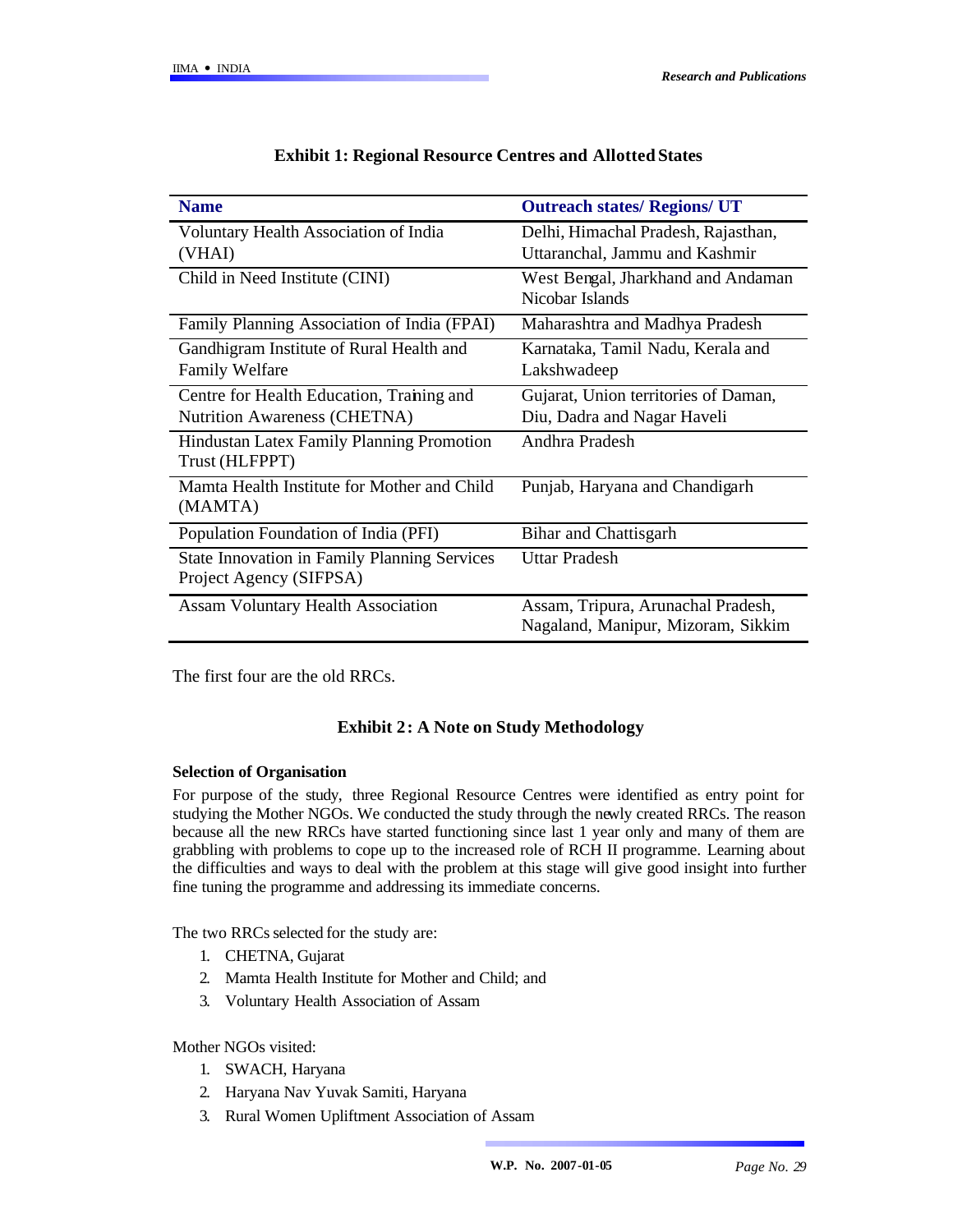| <b>Name</b>                                         | <b>Outreach states/ Regions/ UT</b>  |
|-----------------------------------------------------|--------------------------------------|
| Voluntary Health Association of India               | Delhi, Himachal Pradesh, Rajasthan,  |
| (VHAI)                                              | Uttaranchal, Jammu and Kashmir       |
| Child in Need Institute (CINI)                      | West Bengal, Jharkhand and Andaman   |
|                                                     | Nicobar Islands                      |
| Family Planning Association of India (FPAI)         | Maharashtra and Madhya Pradesh       |
| Gandhigram Institute of Rural Health and            | Karnataka, Tamil Nadu, Kerala and    |
| <b>Family Welfare</b>                               | Lakshwadeep                          |
| Centre for Health Education, Training and           | Gujarat, Union territories of Daman, |
| Nutrition Awareness (CHETNA)                        | Diu, Dadra and Nagar Haveli          |
| <b>Hindustan Latex Family Planning Promotion</b>    | Andhra Pradesh                       |
| Trust (HLFPPT)                                      |                                      |
| Mamta Health Institute for Mother and Child         | Punjab, Haryana and Chandigarh       |
| (MAMTA)                                             |                                      |
| Population Foundation of India (PFI)                | Bihar and Chattisgarh                |
| <b>State Innovation in Family Planning Services</b> | <b>Uttar Pradesh</b>                 |
| Project Agency (SIFPSA)                             |                                      |
| <b>Assam Voluntary Health Association</b>           | Assam, Tripura, Arunachal Pradesh,   |
|                                                     | Nagaland, Manipur, Mizoram, Sikkim   |

#### **Exhibit 1: Regional Resource Centres and Allotted States**

The first four are the old RRCs.

### **Exhibit 2: A Note on Study Methodology**

#### **Selection of Organisation**

For purpose of the study, three Regional Resource Centres were identified as entry point for studying the Mother NGOs. We conducted the study through the newly created RRCs. The reason because all the new RRCs have started functioning since last 1 year only and many of them are grabbling with problems to cope up to the increased role of RCH II programme. Learning about the difficulties and ways to deal with the problem at this stage will give good insight into further fine tuning the programme and addressing its immediate concerns.

The two RRCs selected for the study are:

- 1. CHETNA, Gujarat
- 2. Mamta Health Institute for Mother and Child; and
- 3. Voluntary Health Association of Assam

Mother NGOs visited:

- 1. SWACH, Haryana
- 2. Haryana Nav Yuvak Samiti, Haryana
- 3. Rural Women Upliftment Association of Assam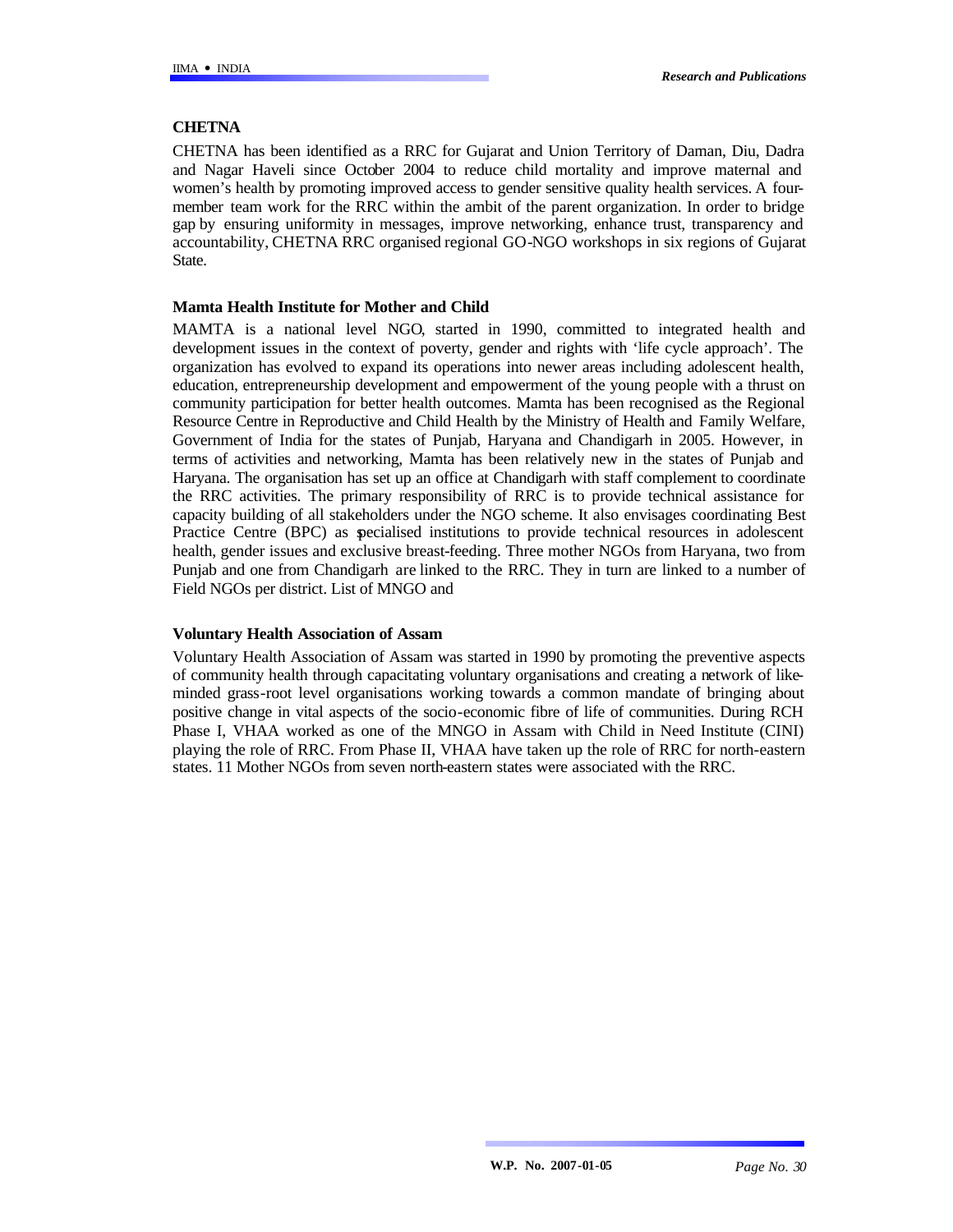## **CHETNA**

CHETNA has been identified as a RRC for Gujarat and Union Territory of Daman, Diu, Dadra and Nagar Haveli since October 2004 to reduce child mortality and improve maternal and women's health by promoting improved access to gender sensitive quality health services. A fourmember team work for the RRC within the ambit of the parent organization. In order to bridge gap by ensuring uniformity in messages, improve networking, enhance trust, transparency and accountability, CHETNA RRC organised regional GO-NGO workshops in six regions of Gujarat State.

### **Mamta Health Institute for Mother and Child**

MAMTA is a national level NGO, started in 1990, committed to integrated health and development issues in the context of poverty, gender and rights with 'life cycle approach'. The organization has evolved to expand its operations into newer areas including adolescent health, education, entrepreneurship development and empowerment of the young people with a thrust on community participation for better health outcomes. Mamta has been recognised as the Regional Resource Centre in Reproductive and Child Health by the Ministry of Health and Family Welfare, Government of India for the states of Punjab, Haryana and Chandigarh in 2005. However, in terms of activities and networking, Mamta has been relatively new in the states of Punjab and Haryana. The organisation has set up an office at Chandigarh with staff complement to coordinate the RRC activities. The primary responsibility of RRC is to provide technical assistance for capacity building of all stakeholders under the NGO scheme. It also envisages coordinating Best Practice Centre (BPC) as specialised institutions to provide technical resources in adolescent health, gender issues and exclusive breast-feeding. Three mother NGOs from Haryana, two from Punjab and one from Chandigarh are linked to the RRC. They in turn are linked to a number of Field NGOs per district. List of MNGO and

### **Voluntary Health Association of Assam**

Voluntary Health Association of Assam was started in 1990 by promoting the preventive aspects of community health through capacitating voluntary organisations and creating a network of likeminded grass-root level organisations working towards a common mandate of bringing about positive change in vital aspects of the socio-economic fibre of life of communities. During RCH Phase I, VHAA worked as one of the MNGO in Assam with Child in Need Institute (CINI) playing the role of RRC. From Phase II, VHAA have taken up the role of RRC for north-eastern states. 11 Mother NGOs from seven north-eastern states were associated with the RRC.